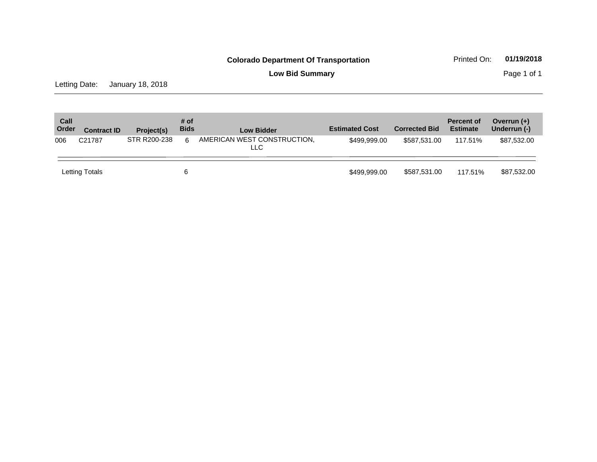**Low Bid Summary Page 1 of 1** 

Letting Date: January 18, 2018

| Call<br>Order | <b>Contract ID</b> | Project(s)   | # of<br><b>Bids</b> | <b>Low Bidder</b>                  | <b>Estimated Cost</b> | <b>Corrected Bid</b> | <b>Percent of</b><br><b>Estimate</b> | Overrun $(+)$<br>Underrun (-) |
|---------------|--------------------|--------------|---------------------|------------------------------------|-----------------------|----------------------|--------------------------------------|-------------------------------|
| 006           | C <sub>21787</sub> | STR R200-238 | 6                   | AMERICAN WEST CONSTRUCTION,<br>LLC | \$499.999.00          | \$587.531.00         | 117.51%                              | \$87.532.00                   |
|               | Letting Totals     |              | 6                   |                                    | \$499,999.00          | \$587,531.00         | 117.51%                              | \$87,532.00                   |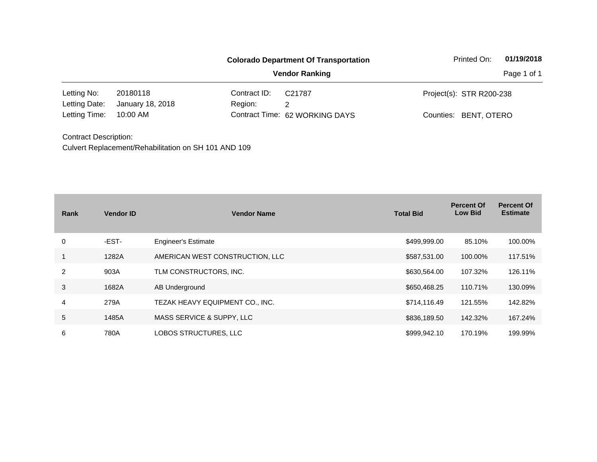|                              |                  | <b>Colorado Department Of Transportation</b> | Printed On:                    | 01/19/2018               |  |  |
|------------------------------|------------------|----------------------------------------------|--------------------------------|--------------------------|--|--|
|                              |                  |                                              | <b>Vendor Ranking</b>          | Page 1 of 1              |  |  |
| Letting No:                  | 20180118         | Contract ID:                                 | C <sub>21787</sub>             | Project(s): STR R200-238 |  |  |
| Letting Date:                | January 18, 2018 | Region:                                      | 2                              |                          |  |  |
| Letting Time:                | 10:00 AM         |                                              | Contract Time: 62 WORKING DAYS | Counties: BENT, OTERO    |  |  |
| <b>Contract Description:</b> |                  |                                              |                                |                          |  |  |

| Rank | <b>Vendor ID</b> | <b>Vendor Name</b>              | <b>Total Bid</b> | <b>Percent Of</b><br><b>Low Bid</b> | <b>Percent Of</b><br><b>Estimate</b> |
|------|------------------|---------------------------------|------------------|-------------------------------------|--------------------------------------|
| 0    | -EST-            | <b>Engineer's Estimate</b>      | \$499,999.00     | 85.10%                              | 100.00%                              |
|      | 1282A            | AMERICAN WEST CONSTRUCTION, LLC | \$587,531.00     | 100.00%                             | 117.51%                              |
| 2    | 903A             | TLM CONSTRUCTORS, INC.          | \$630,564.00     | 107.32%                             | 126.11%                              |
| 3    | 1682A            | AB Underground                  | \$650,468.25     | 110.71%                             | 130.09%                              |
| 4    | 279A             | TEZAK HEAVY EQUIPMENT CO., INC. | \$714,116.49     | 121.55%                             | 142.82%                              |
| 5    | 1485A            | MASS SERVICE & SUPPY, LLC       | \$836,189.50     | 142.32%                             | 167.24%                              |
| 6    | 780A             | LOBOS STRUCTURES, LLC           | \$999,942.10     | 170.19%                             | 199.99%                              |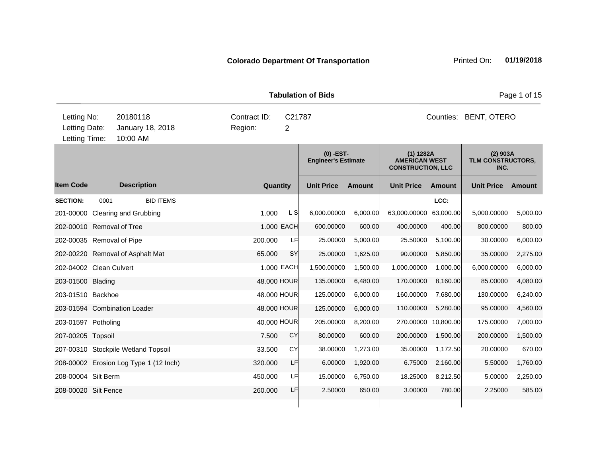|                                               |      |                                          |                         |                          | <b>Tabulation of Bids</b>                 | Page 1 of 15  |                                                               |           |                                         |          |  |
|-----------------------------------------------|------|------------------------------------------|-------------------------|--------------------------|-------------------------------------------|---------------|---------------------------------------------------------------|-----------|-----------------------------------------|----------|--|
| Letting No:<br>Letting Date:<br>Letting Time: |      | 20180118<br>January 18, 2018<br>10:00 AM | Contract ID:<br>Region: | C21787<br>$\overline{2}$ |                                           |               | Counties: BENT, OTERO                                         |           |                                         |          |  |
|                                               |      |                                          |                         |                          | $(0)$ -EST-<br><b>Engineer's Estimate</b> |               | (1) 1282A<br><b>AMERICAN WEST</b><br><b>CONSTRUCTION, LLC</b> |           | $(2)$ 903A<br>TLM CONSTRUCTORS,<br>INC. |          |  |
| <b>Item Code</b>                              |      | <b>Description</b>                       | Quantity                |                          | <b>Unit Price</b>                         | <b>Amount</b> | <b>Unit Price</b>                                             | Amount    | <b>Unit Price</b>                       | Amount   |  |
| <b>SECTION:</b>                               | 0001 | <b>BID ITEMS</b>                         |                         |                          |                                           |               |                                                               | LCC:      |                                         |          |  |
|                                               |      | 201-00000 Clearing and Grubbing          | 1.000                   | $\lfloor$ S              | 6,000.00000                               | 6,000.00      | 63,000.00000                                                  | 63,000.00 | 5,000.00000                             | 5,000.00 |  |
| 202-00010 Removal of Tree                     |      |                                          |                         | 1.000 EACH               | 600.00000                                 | 600.00        | 400.00000                                                     | 400.00    | 800.00000                               | 800.00   |  |
| 202-00035 Removal of Pipe                     |      |                                          | 200.000                 | LF                       | 25.00000                                  | 5,000.00      | 25.50000                                                      | 5,100.00  | 30.00000                                | 6,000.00 |  |
|                                               |      | 202-00220 Removal of Asphalt Mat         | 65.000                  | SY                       | 25.00000                                  | 1,625.00      | 90.00000                                                      | 5,850.00  | 35.00000                                | 2,275.00 |  |
| 202-04002 Clean Culvert                       |      |                                          |                         | 1.000 EACH               | 1,500.00000                               | 1,500.00      | 1,000.00000                                                   | 1,000.00  | 6,000.00000                             | 6,000.00 |  |
| 203-01500 Blading                             |      |                                          |                         | 48.000 HOUR              | 135.00000                                 | 6,480.00      | 170.00000                                                     | 8,160.00  | 85.00000                                | 4,080.00 |  |
| 203-01510 Backhoe                             |      |                                          |                         | 48.000 HOUR              | 125.00000                                 | 6,000.00      | 160.00000                                                     | 7,680.00  | 130.00000                               | 6,240.00 |  |
|                                               |      | 203-01594 Combination Loader             |                         | 48.000 HOUR              | 125.00000                                 | 6,000.00      | 110.00000                                                     | 5,280.00  | 95.00000                                | 4,560.00 |  |
| 203-01597 Potholing                           |      |                                          |                         | 40.000 HOUR              | 205.00000                                 | 8,200.00      | 270.00000 10,800.00                                           |           | 175.00000                               | 7,000.00 |  |
| 207-00205 Topsoil                             |      |                                          | 7.500                   | <b>CY</b>                | 80.00000                                  | 600.00        | 200.00000                                                     | 1,500.00  | 200.00000                               | 1,500.00 |  |
|                                               |      | 207-00310 Stockpile Wetland Topsoil      | 33.500                  | CY                       | 38.00000                                  | 1,273.00      | 35.00000                                                      | 1,172.50  | 20.00000                                | 670.00   |  |
|                                               |      | 208-00002 Erosion Log Type 1 (12 Inch)   | 320.000                 | LF                       | 6.00000                                   | 1,920.00      | 6.75000                                                       | 2,160.00  | 5.50000                                 | 1,760.00 |  |
| 208-00004 Silt Berm                           |      |                                          | 450.000                 | LF                       | 15.00000                                  | 6,750.00      | 18.25000                                                      | 8,212.50  | 5.00000                                 | 2,250.00 |  |
| 208-00020 Silt Fence                          |      |                                          | 260.000                 | LF                       | 2.50000                                   | 650.00        | 3.00000                                                       | 780.00    | 2.25000                                 | 585.00   |  |
|                                               |      |                                          |                         |                          |                                           |               |                                                               |           |                                         |          |  |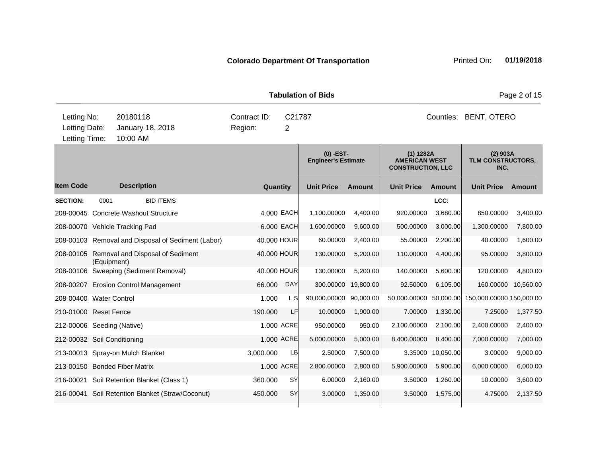|                                               |             |                                                    |                         |            | <b>Tabulation of Bids</b>               |                       | Page 2 of 15                                                  |               |                                         |               |  |
|-----------------------------------------------|-------------|----------------------------------------------------|-------------------------|------------|-----------------------------------------|-----------------------|---------------------------------------------------------------|---------------|-----------------------------------------|---------------|--|
| Letting No:<br>Letting Date:<br>Letting Time: |             | 20180118<br>January 18, 2018<br>10:00 AM           | Contract ID:<br>Region: | C21787     |                                         | Counties: BENT, OTERO |                                                               |               |                                         |               |  |
|                                               |             |                                                    |                         |            | (0) -EST-<br><b>Engineer's Estimate</b> |                       | (1) 1282A<br><b>AMERICAN WEST</b><br><b>CONSTRUCTION, LLC</b> |               | $(2)$ 903A<br>TLM CONSTRUCTORS,<br>INC. |               |  |
| <b>Item Code</b>                              |             | <b>Description</b>                                 | Quantity                |            | <b>Unit Price</b>                       | <b>Amount</b>         | <b>Unit Price</b>                                             | <b>Amount</b> | <b>Unit Price</b>                       | <b>Amount</b> |  |
| <b>SECTION:</b>                               | 0001        | <b>BID ITEMS</b>                                   |                         |            |                                         |                       |                                                               | LCC:          |                                         |               |  |
|                                               |             | 208-00045 Concrete Washout Structure               |                         | 4.000 EACH | 1,100.00000                             | 4,400.00              | 920.00000                                                     | 3,680.00      | 850.00000                               | 3,400.00      |  |
|                                               |             | 208-00070 Vehicle Tracking Pad                     |                         | 6.000 EACH | 1,600.00000                             | 9,600.00              | 500.00000                                                     | 3,000.00      | 1,300.00000                             | 7,800.00      |  |
|                                               |             | 208-00103 Removal and Disposal of Sediment (Labor) | 40.000 HOUR             |            | 60.00000                                | 2,400.00              | 55.00000                                                      | 2,200.00      | 40.00000                                | 1,600.00      |  |
|                                               | (Equipment) | 208-00105 Removal and Disposal of Sediment         | 40.000 HOUR             |            | 130.00000                               | 5,200.00              | 110.00000                                                     | 4,400.00      | 95.00000                                | 3,800.00      |  |
|                                               |             | 208-00106 Sweeping (Sediment Removal)              | 40.000 HOUR             |            | 130.00000                               | 5,200.00              | 140.00000                                                     | 5,600.00      | 120.00000                               | 4,800.00      |  |
|                                               |             | 208-00207 Erosion Control Management               | 66,000                  | <b>DAY</b> | 300.00000                               | 19,800.00             | 92.50000                                                      | 6,105.00      | 160.00000                               | 10,560.00     |  |
| 208-00400 Water Control                       |             |                                                    | 1.000                   | L S        | 90,000.00000                            | 90,000.00             | 50,000.00000 50,000.00                                        |               | 150,000.00000 150,000.00                |               |  |
| 210-01000 Reset Fence                         |             |                                                    | 190.000                 | LF         | 10.00000                                | 1,900.00              | 7.00000                                                       | 1,330.00      | 7.25000                                 | 1,377.50      |  |
| 212-00006 Seeding (Native)                    |             |                                                    |                         | 1.000 ACRE | 950.00000                               | 950.00                | 2,100.00000                                                   | 2,100.00      | 2,400.00000                             | 2,400.00      |  |
| 212-00032 Soil Conditioning                   |             |                                                    |                         | 1.000 ACRE | 5,000.00000                             | 5,000.00              | 8,400.00000                                                   | 8,400.00      | 7,000.00000                             | 7,000.00      |  |
|                                               |             | 213-00013 Spray-on Mulch Blanket                   | 3,000.000               | <b>LB</b>  | 2.50000                                 | 7,500.00              | 3.35000                                                       | 10,050.00     | 3.00000                                 | 9,000.00      |  |
|                                               |             | 213-00150 Bonded Fiber Matrix                      |                         | 1.000 ACRE | 2,800.00000                             | 2,800.00              | 5,900.00000                                                   | 5,900.00      | 6,000.00000                             | 6,000.00      |  |
|                                               |             | 216-00021 Soil Retention Blanket (Class 1)         | 360.000                 | <b>SY</b>  | 6.00000                                 | 2,160.00              | 3.50000                                                       | 1,260.00      | 10.00000                                | 3,600.00      |  |
|                                               |             | 216-00041 Soil Retention Blanket (Straw/Coconut)   | 450.000                 | <b>SY</b>  | 3.00000                                 | 1,350.00              | 3.50000                                                       | 1,575.00      | 4.75000                                 | 2,137.50      |  |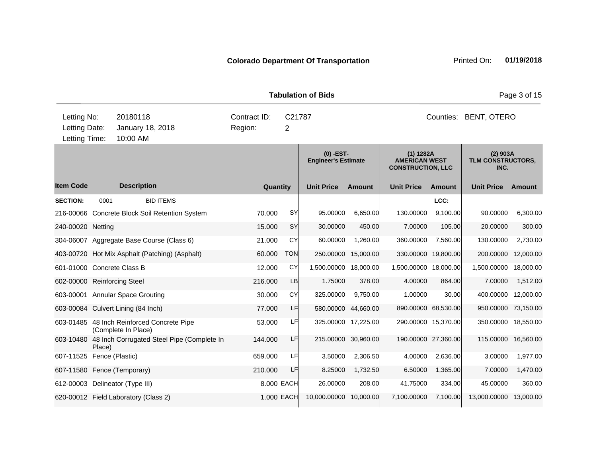| <b>Tabulation of Bids</b>                     |                     |                                                                                    |                                                      |         |          |            |                                           |                     |                                                                 |                     |                                         | Page 3 of 15 |
|-----------------------------------------------|---------------------|------------------------------------------------------------------------------------|------------------------------------------------------|---------|----------|------------|-------------------------------------------|---------------------|-----------------------------------------------------------------|---------------------|-----------------------------------------|--------------|
| Letting No:<br>Letting Date:<br>Letting Time: |                     | 20180118<br>Contract ID:<br>C21787<br>Region:<br>January 18, 2018<br>2<br>10:00 AM |                                                      |         |          |            | Counties:<br>BENT, OTERO                  |                     |                                                                 |                     |                                         |              |
|                                               |                     |                                                                                    |                                                      |         |          |            | $(0)$ -EST-<br><b>Engineer's Estimate</b> |                     | $(1)$ 1282A<br><b>AMERICAN WEST</b><br><b>CONSTRUCTION, LLC</b> |                     | $(2)$ 903A<br>TLM CONSTRUCTORS,<br>INC. |              |
| <b>Item Code</b>                              |                     | <b>Description</b>                                                                 |                                                      |         | Quantity |            | <b>Unit Price</b>                         | <b>Amount</b>       | <b>Unit Price</b>                                               | Amount              | <b>Unit Price</b>                       | Amount       |
| <b>SECTION:</b>                               | 0001                |                                                                                    | <b>BID ITEMS</b>                                     |         |          |            |                                           |                     |                                                                 | LCC:                |                                         |              |
|                                               |                     |                                                                                    | 216-00066 Concrete Block Soil Retention System       | 70.000  |          | SY         | 95.00000                                  | 6,650.00            | 130.00000                                                       | 9,100.00            | 90.00000                                | 6,300.00     |
| 240-00020 Netting                             |                     |                                                                                    |                                                      | 15.000  |          | SY         | 30.00000                                  | 450.00              | 7.00000                                                         | 105.00              | 20.00000                                | 300.00       |
|                                               |                     |                                                                                    | 304-06007 Aggregate Base Course (Class 6)            | 21.000  |          | CY         | 60.00000                                  | 1,260.00            | 360.00000                                                       | 7,560.00            | 130.00000                               | 2,730.00     |
|                                               |                     |                                                                                    | 403-00720 Hot Mix Asphalt (Patching) (Asphalt)       | 60.000  |          | <b>TON</b> | 250.00000                                 | 15,000.00           |                                                                 | 330.00000 19,800.00 | 200.00000                               | 12,000.00    |
| 601-01000 Concrete Class B                    |                     |                                                                                    |                                                      | 12.000  |          | CY         | 1,500.00000 18,000.00                     |                     | 1,500.00000 18,000.00                                           |                     | 1,500.00000                             | 18,000.00    |
| 602-00000 Reinforcing Steel                   |                     |                                                                                    |                                                      | 216,000 |          | LB         | 1.75000                                   | 378.00              | 4.00000                                                         | 864.00              | 7.00000                                 | 1,512.00     |
| 603-00001 Annular Space Grouting              |                     |                                                                                    |                                                      | 30.000  |          | CY         | 325.00000                                 | 9,750.00            | 1.00000                                                         | 30.00               | 400.00000                               | 12,000.00    |
| 603-00084 Culvert Lining (84 Inch)            |                     |                                                                                    |                                                      | 77.000  |          | LF         |                                           | 580.00000 44,660.00 |                                                                 | 890.00000 68,530.00 | 950.00000                               | 73,150.00    |
|                                               | (Complete In Place) |                                                                                    | 603-01485 48 Inch Reinforced Concrete Pipe           | 53.000  |          | LF         |                                           | 325.00000 17,225.00 |                                                                 | 290.00000 15,370.00 | 350.00000                               | 18,550.00    |
|                                               | Place)              |                                                                                    | 603-10480 48 Inch Corrugated Steel Pipe (Complete In | 144.000 |          | LF         |                                           | 215.00000 30,960.00 |                                                                 | 190.00000 27,360.00 | 115.00000                               | 16,560.00    |
| 607-11525 Fence (Plastic)                     |                     |                                                                                    |                                                      | 659,000 |          | LF         | 3.50000                                   | 2,306.50            | 4.00000                                                         | 2,636.00            | 3.00000                                 | 1,977.00     |
| 607-11580 Fence (Temporary)                   |                     |                                                                                    |                                                      | 210.000 |          | LF         | 8.25000                                   | 1,732.50            | 6.50000                                                         | 1,365.00            | 7.00000                                 | 1,470.00     |
| 612-00003 Delineator (Type III)               |                     |                                                                                    |                                                      |         |          | 8.000 EACH | 26.00000                                  | 208.00              | 41.75000                                                        | 334.00              | 45.00000                                | 360.00       |
| 620-00012 Field Laboratory (Class 2)          |                     |                                                                                    |                                                      |         |          | 1.000 EACH | 10,000.00000                              | 10,000.00           | 7,100.00000                                                     | 7,100.00            | 13,000.00000                            | 13,000.00    |
|                                               |                     |                                                                                    |                                                      |         |          |            |                                           |                     |                                                                 |                     |                                         |              |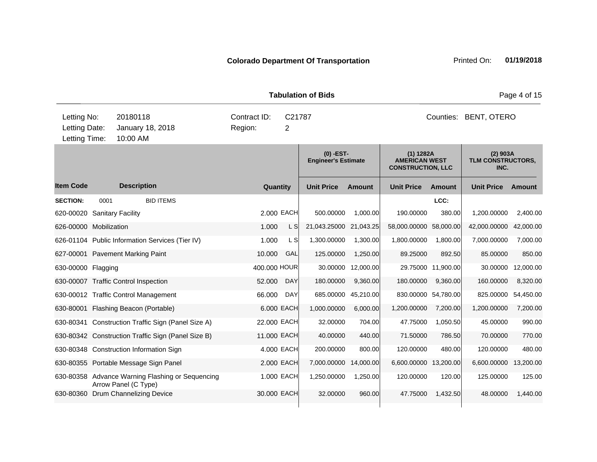|                                                |                      |                                                    |                         |                          | <b>Tabulation of Bids</b>                 |                     | Page 4 of 15                                                  |                     |                                         |           |
|------------------------------------------------|----------------------|----------------------------------------------------|-------------------------|--------------------------|-------------------------------------------|---------------------|---------------------------------------------------------------|---------------------|-----------------------------------------|-----------|
| Letting No:<br>Letting Date:<br>Letting Time:  |                      | 20180118<br>January 18, 2018<br>10:00 AM           | Contract ID:<br>Region: | C21787<br>$\overline{2}$ |                                           |                     |                                                               | Counties:           | BENT, OTERO                             |           |
|                                                |                      |                                                    |                         |                          | $(0)$ -EST-<br><b>Engineer's Estimate</b> |                     | (1) 1282A<br><b>AMERICAN WEST</b><br><b>CONSTRUCTION, LLC</b> |                     | $(2)$ 903A<br>TLM CONSTRUCTORS,<br>INC. |           |
| <b>Item Code</b>                               |                      | <b>Description</b>                                 | Quantity                |                          | <b>Unit Price</b>                         | <b>Amount</b>       | <b>Unit Price</b>                                             | Amount              | <b>Unit Price</b>                       | Amount    |
| <b>SECTION:</b><br>620-00020 Sanitary Facility | 0001                 | <b>BID ITEMS</b>                                   |                         | 2.000 EACH               | 500.00000                                 | 1,000.00            | 190.00000                                                     | LCC:<br>380.00      | 1,200.00000                             | 2,400.00  |
| 626-00000 Mobilization                         |                      |                                                    | 1.000                   | L S                      | 21,043.25000                              | 21,043.25           | 58,000.00000                                                  | 58,000.00           | 42,000.00000                            | 42,000.00 |
|                                                |                      | 626-01104 Public Information Services (Tier IV)    | 1.000                   | L S                      | 1,300.00000                               | 1,300.00            | 1,800.00000                                                   | 1,800.00            | 7,000.00000                             | 7,000.00  |
| 627-00001 Pavement Marking Paint               |                      |                                                    | 10.000                  | GAL                      | 125.00000                                 | 1,250.00            | 89.25000                                                      | 892.50              | 85.00000                                | 850.00    |
| 630-00000 Flagging                             |                      |                                                    | 400.000 HOUR            |                          | 30.00000                                  | 12,000.00           |                                                               | 29.75000 11,900.00  | 30.00000                                | 12,000.00 |
| 630-00007 Traffic Control Inspection           |                      |                                                    | 52.000                  | <b>DAY</b>               | 180.00000                                 | 9,360.00            | 180.00000                                                     | 9,360.00            | 160.00000                               | 8,320.00  |
|                                                |                      | 630-00012 Traffic Control Management               | 66.000                  | <b>DAY</b>               |                                           | 685.00000 45,210.00 |                                                               | 830.00000 54,780.00 | 825.00000                               | 54,450.00 |
|                                                |                      | 630-80001 Flashing Beacon (Portable)               |                         | 6,000 EACH               | 1,000.00000                               | 6,000.00            | 1,200.00000                                                   | 7,200.00            | 1,200.00000                             | 7,200.00  |
|                                                |                      | 630-80341 Construction Traffic Sign (Panel Size A) | 22.000 EACH             |                          | 32.00000                                  | 704.00              | 47.75000                                                      | 1,050.50            | 45.00000                                | 990.00    |
|                                                |                      | 630-80342 Construction Traffic Sign (Panel Size B) | 11.000 EACH             |                          | 40.00000                                  | 440.00              | 71.50000                                                      | 786.50              | 70.00000                                | 770.00    |
|                                                |                      | 630-80348 Construction Information Sign            |                         | 4.000 EACH               | 200.00000                                 | 800.00              | 120.00000                                                     | 480.00              | 120.00000                               | 480.00    |
|                                                |                      | 630-80355 Portable Message Sign Panel              |                         | 2.000 EACH               | 7,000.00000                               | 14,000.00           | 6,600.00000 13,200.00                                         |                     | 6,600.00000                             | 13,200.00 |
|                                                | Arrow Panel (C Type) | 630-80358 Advance Warning Flashing or Sequencing   |                         | 1.000 EACH               | 1,250.00000                               | 1,250.00            | 120.00000                                                     | 120.00              | 125.00000                               | 125.00    |
|                                                |                      | 630-80360 Drum Channelizing Device                 | 30.000 EACH             |                          | 32.00000                                  | 960.00              | 47.75000                                                      | 1,432.50            | 48.00000                                | 1,440.00  |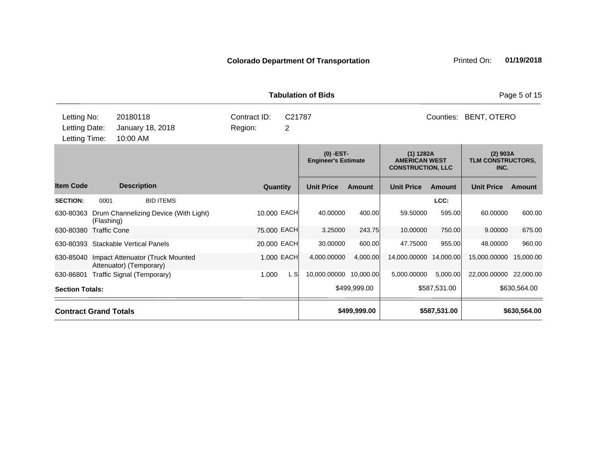|                                               |                                                             |                                           |                              | <b>Tabulation of Bids</b> |               |                                                                 |               |                                         | Page 5 of 15 |
|-----------------------------------------------|-------------------------------------------------------------|-------------------------------------------|------------------------------|---------------------------|---------------|-----------------------------------------------------------------|---------------|-----------------------------------------|--------------|
| Letting No:<br>Letting Date:<br>Letting Time: | 20180118<br>January 18, 2018<br>10:00 AM                    | Contract ID:<br>Region:                   | C21787                       | Counties:<br>BENT, OTERO  |               |                                                                 |               |                                         |              |
|                                               |                                                             | $(0)$ -EST-<br><b>Engineer's Estimate</b> |                              |                           |               | $(1)$ 1282A<br><b>AMERICAN WEST</b><br><b>CONSTRUCTION, LLC</b> |               | $(2)$ 903A<br>TLM CONSTRUCTORS,<br>INC. |              |
| <b>Item Code</b>                              | <b>Description</b>                                          | Quantity                                  |                              | <b>Unit Price</b>         | <b>Amount</b> | <b>Unit Price</b>                                               | <b>Amount</b> | <b>Unit Price</b>                       | Amount       |
| <b>SECTION:</b><br>0001                       | <b>BID ITEMS</b>                                            |                                           |                              |                           |               |                                                                 | LCC:          |                                         |              |
| 630-80363<br>(Flashing)                       | Drum Channelizing Device (With Light)                       | 10.000 EACH                               |                              | 40.00000                  | 400.00        | 59.50000                                                        | 595.00        | 60.00000                                | 600.00       |
| <b>Traffic Cone</b><br>630-80380              |                                                             | 75.000 EACH                               |                              | 3.25000                   | 243.75        | 10.00000                                                        | 750.00        | 9.00000                                 | 675.00       |
| 630-80393 Stackable Vertical Panels           |                                                             | 20.000 EACH                               |                              | 30.00000                  | 600.00        | 47.75000                                                        | 955.00        | 48.00000                                | 960.00       |
| 630-85040                                     | Impact Attenuator (Truck Mounted<br>Attenuator) (Temporary) | 1.000 EACH                                |                              | 4,000.00000               | 4,000.00      | 14,000.00000                                                    | 14,000.00     | 15,000.00000                            | 15,000.00    |
| 630-86801                                     | Traffic Signal (Temporary)                                  | 1.000                                     | L S                          | 10,000.00000 10,000.00    |               | 5,000.00000                                                     | 5,000.00      | 22,000.00000 22,000.00                  |              |
| <b>Section Totals:</b>                        |                                                             |                                           | \$499,999.00<br>\$587,531.00 |                           |               |                                                                 |               | \$630,564.00                            |              |
| <b>Contract Grand Totals</b>                  |                                                             | \$587,531.00<br>\$499,999.00              |                              |                           | \$630,564.00  |                                                                 |               |                                         |              |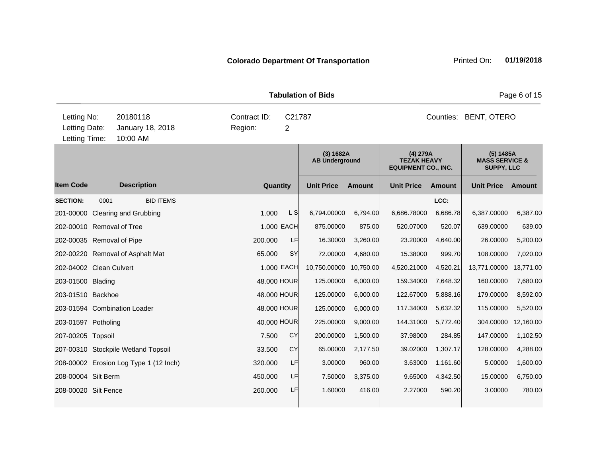|                                               |      |                                          |                                 | <b>Tabulation of Bids</b><br>Page 6 of 15 |                                    |               |                                                              |               |                                                             |           |
|-----------------------------------------------|------|------------------------------------------|---------------------------------|-------------------------------------------|------------------------------------|---------------|--------------------------------------------------------------|---------------|-------------------------------------------------------------|-----------|
| Letting No:<br>Letting Date:<br>Letting Time: |      | 20180118<br>January 18, 2018<br>10:00 AM | Counties:<br><b>BENT, OTERO</b> |                                           |                                    |               |                                                              |               |                                                             |           |
|                                               |      |                                          |                                 |                                           | (3) 1682A<br><b>AB Underground</b> |               | (4) 279A<br><b>TEZAK HEAVY</b><br><b>EQUIPMENT CO., INC.</b> |               | (5) 1485A<br><b>MASS SERVICE &amp;</b><br><b>SUPPY, LLC</b> |           |
| <b>Item Code</b>                              |      | <b>Description</b>                       | Quantity                        |                                           | <b>Unit Price</b>                  | <b>Amount</b> | <b>Unit Price</b>                                            | <b>Amount</b> | <b>Unit Price</b>                                           | Amount    |
| <b>SECTION:</b>                               | 0001 | <b>BID ITEMS</b>                         |                                 |                                           |                                    |               |                                                              | LCC:          |                                                             |           |
|                                               |      | 201-00000 Clearing and Grubbing          | 1.000                           | $\lfloor S \rfloor$                       | 6,794.00000                        | 6,794.00      | 6,686.78000                                                  | 6,686.78      | 6,387.00000                                                 | 6,387.00  |
| 202-00010 Removal of Tree                     |      |                                          |                                 | 1.000 EACH                                | 875.00000                          | 875.00        | 520.07000                                                    | 520.07        | 639.00000                                                   | 639.00    |
| 202-00035 Removal of Pipe                     |      |                                          | 200.000                         | LF                                        | 16.30000                           | 3,260.00      | 23.20000                                                     | 4,640.00      | 26.00000                                                    | 5,200.00  |
|                                               |      | 202-00220 Removal of Asphalt Mat         | 65.000                          | SY                                        | 72.00000                           | 4.680.00      | 15.38000                                                     | 999.70        | 108.00000                                                   | 7,020.00  |
| 202-04002 Clean Culvert                       |      |                                          |                                 | 1.000 EACH                                | 10,750.00000                       | 10,750.00     | 4,520.21000                                                  | 4,520.21      | 13,771.00000                                                | 13,771.00 |
| 203-01500 Blading                             |      |                                          | 48.000 HOUR                     |                                           | 125.00000                          | 6,000.00      | 159.34000                                                    | 7,648.32      | 160.00000                                                   | 7,680.00  |
| 203-01510 Backhoe                             |      |                                          | 48,000 HOUR                     |                                           | 125.00000                          | 6,000.00      | 122.67000                                                    | 5,888.16      | 179.00000                                                   | 8,592.00  |
|                                               |      | 203-01594 Combination Loader             | 48.000 HOUR                     |                                           | 125.00000                          | 6,000.00      | 117.34000                                                    | 5,632.32      | 115.00000                                                   | 5,520.00  |
| 203-01597 Potholing                           |      |                                          | 40.000 HOUR                     |                                           | 225.00000                          | 9,000.00      | 144.31000                                                    | 5,772.40      | 304.00000                                                   | 12,160.00 |
| 207-00205 Topsoil                             |      |                                          | 7.500                           | <b>CY</b>                                 | 200.00000                          | 1,500.00      | 37.98000                                                     | 284.85        | 147.00000                                                   | 1,102.50  |
|                                               |      | 207-00310 Stockpile Wetland Topsoil      | 33.500                          | CY                                        | 65.00000                           | 2,177.50      | 39.02000                                                     | 1,307.17      | 128.00000                                                   | 4,288.00  |
|                                               |      | 208-00002 Erosion Log Type 1 (12 Inch)   | 320.000                         | LF                                        | 3.00000                            | 960.00        | 3.63000                                                      | 1,161.60      | 5.00000                                                     | 1,600.00  |
| 208-00004 Silt Berm                           |      |                                          | 450.000                         | LF                                        | 7.50000                            | 3,375.00      | 9.65000                                                      | 4,342.50      | 15.00000                                                    | 6,750.00  |
| 208-00020 Silt Fence                          |      |                                          | 260.000                         | LF                                        | 1.60000                            | 416.00        | 2.27000                                                      | 590.20        | 3.00000                                                     | 780.00    |
|                                               |      |                                          |                                 |                                           |                                    |               |                                                              |               |                                                             |           |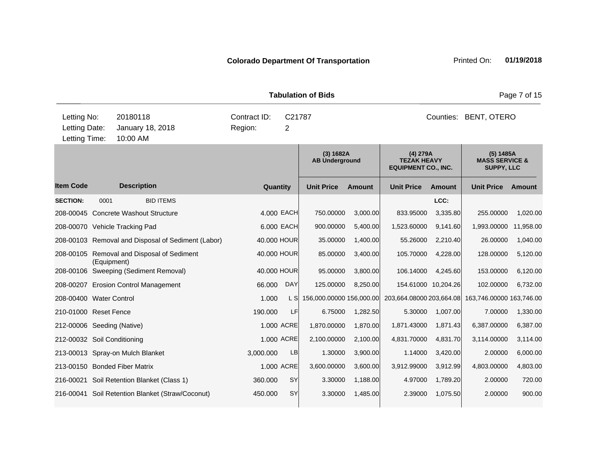|                                               |                                                  |                                                    |                                        |             |            | <b>Tabulation of Bids</b>          |                                 |                                                                |                     |                                                      | Page 7 of 15 |
|-----------------------------------------------|--------------------------------------------------|----------------------------------------------------|----------------------------------------|-------------|------------|------------------------------------|---------------------------------|----------------------------------------------------------------|---------------------|------------------------------------------------------|--------------|
| Letting No:<br>Letting Date:<br>Letting Time: |                                                  | 20180118<br>January 18, 2018<br>10:00 AM           | Contract ID:<br>C21787<br>Region:<br>2 |             |            |                                    | Counties:<br><b>BENT, OTERO</b> |                                                                |                     |                                                      |              |
|                                               |                                                  |                                                    |                                        |             |            | (3) 1682A<br><b>AB Underground</b> |                                 | $(4)$ 279A<br><b>TEZAK HEAVY</b><br><b>EQUIPMENT CO., INC.</b> |                     | (5) 1485A<br><b>MASS SERVICE &amp;</b><br>SUPPY, LLC |              |
| <b>Item Code</b>                              |                                                  | <b>Description</b>                                 |                                        | Quantity    |            | <b>Unit Price</b>                  | <b>Amount</b>                   | <b>Unit Price</b>                                              | <b>Amount</b>       | <b>Unit Price</b>                                    | Amount       |
| <b>SECTION:</b>                               | 0001                                             | <b>BID ITEMS</b>                                   |                                        |             |            |                                    |                                 |                                                                | LCC:                |                                                      |              |
|                                               |                                                  | 208-00045 Concrete Washout Structure               |                                        |             | 4.000 EACH | 750.00000                          | 3,000.00                        | 833.95000                                                      | 3,335.80            | 255.00000                                            | 1,020.00     |
|                                               |                                                  | 208-00070 Vehicle Tracking Pad                     |                                        |             | 6.000 EACH | 900.00000                          | 5,400.00                        | 1,523.60000                                                    | 9,141.60            | 1,993.00000                                          | 11,958.00    |
|                                               |                                                  | 208-00103 Removal and Disposal of Sediment (Labor) |                                        | 40.000 HOUR |            | 35.00000                           | 1,400.00                        | 55.26000                                                       | 2,210.40            | 26.00000                                             | 1,040.00     |
|                                               | (Equipment)                                      | 208-00105 Removal and Disposal of Sediment         |                                        | 40.000 HOUR |            | 85.00000                           | 3,400.00                        | 105.70000                                                      | 4,228.00            | 128.00000                                            | 5,120.00     |
|                                               |                                                  | 208-00106 Sweeping (Sediment Removal)              |                                        | 40.000 HOUR |            | 95.00000                           | 3,800.00                        | 106.14000                                                      | 4,245.60            | 153.00000                                            | 6,120.00     |
|                                               |                                                  | 208-00207 Erosion Control Management               |                                        | 66.000      | <b>DAY</b> | 125.00000                          | 8,250.00                        |                                                                | 154.61000 10,204.26 | 102.00000                                            | 6,732.00     |
| 208-00400 Water Control                       |                                                  |                                                    |                                        | 1.000       | L SI       | 156,000.00000 156,000.00           |                                 | 203,664.08000 203,664.08                                       |                     | 163,746.00000 163,746.00                             |              |
| 210-01000 Reset Fence                         |                                                  |                                                    |                                        | 190.000     | LF         | 6.75000                            | 1,282.50                        | 5.30000                                                        | 1,007.00            | 7.00000                                              | 1,330.00     |
| 212-00006 Seeding (Native)                    |                                                  |                                                    |                                        |             | 1.000 ACRE | 1,870.00000                        | 1,870.00                        | 1,871.43000                                                    | 1,871.43            | 6,387.00000                                          | 6,387.00     |
| 212-00032 Soil Conditioning                   |                                                  |                                                    |                                        |             | 1.000 ACRE | 2,100.00000                        | 2,100.00                        | 4,831.70000                                                    | 4,831.70            | 3,114.00000                                          | 3,114.00     |
|                                               |                                                  | 213-00013 Spray-on Mulch Blanket                   |                                        | 3,000.000   | LB         | 1.30000                            | 3,900.00                        | 1.14000                                                        | 3,420.00            | 2.00000                                              | 6,000.00     |
|                                               |                                                  | 213-00150 Bonded Fiber Matrix                      |                                        |             | 1.000 ACRE | 3,600.00000                        | 3,600.00                        | 3,912.99000                                                    | 3,912.99            | 4,803.00000                                          | 4,803.00     |
|                                               |                                                  | 216-00021 Soil Retention Blanket (Class 1)         |                                        | 360.000     | <b>SY</b>  | 3.30000                            | 1,188.00                        | 4.97000                                                        | 1,789.20            | 2.00000                                              | 720.00       |
|                                               | 216-00041 Soil Retention Blanket (Straw/Coconut) |                                                    | 450.000                                | <b>SY</b>   | 3.30000    | 1,485.00                           | 2.39000                         | 1,075.50                                                       | 2.00000             | 900.00                                               |              |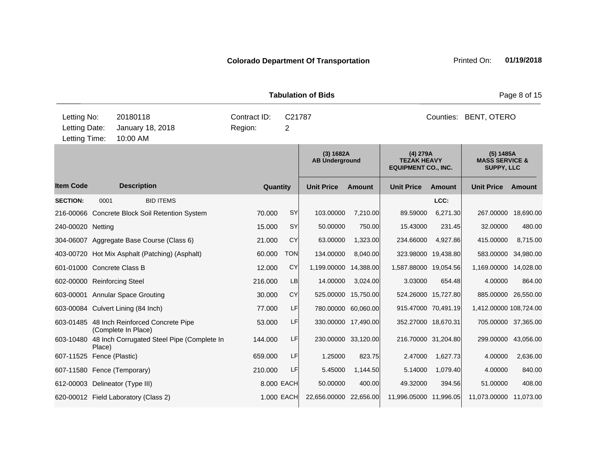| <b>Tabulation of Bids</b>   |                                                                                           |                                      |                                                      |          |                                        |                                    |                     |                                                                |                       |                                                      | Page 8 of 15 |  |  |
|-----------------------------|-------------------------------------------------------------------------------------------|--------------------------------------|------------------------------------------------------|----------|----------------------------------------|------------------------------------|---------------------|----------------------------------------------------------------|-----------------------|------------------------------------------------------|--------------|--|--|
|                             | Letting No:<br>20180118<br>Letting Date:<br>January 18, 2018<br>Letting Time:<br>10:00 AM |                                      |                                                      |          | Contract ID:<br>C21787<br>Region:<br>2 |                                    |                     |                                                                | Counties: BENT, OTERO |                                                      |              |  |  |
|                             |                                                                                           |                                      |                                                      |          |                                        | (3) 1682A<br><b>AB Underground</b> |                     | $(4)$ 279A<br><b>TEZAK HEAVY</b><br><b>EQUIPMENT CO., INC.</b> |                       | (5) 1485A<br><b>MASS SERVICE &amp;</b><br>SUPPY, LLC |              |  |  |
| <b>Item Code</b>            |                                                                                           | <b>Description</b>                   |                                                      | Quantity |                                        | <b>Unit Price</b>                  | <b>Amount</b>       | <b>Unit Price</b>                                              | <b>Amount</b>         | <b>Unit Price</b>                                    | Amount       |  |  |
| <b>SECTION:</b>             | 0001                                                                                      |                                      | <b>BID ITEMS</b>                                     |          |                                        |                                    |                     |                                                                | LCC:                  |                                                      |              |  |  |
|                             |                                                                                           |                                      | 216-00066 Concrete Block Soil Retention System       | 70.000   | <b>SY</b>                              | 103.00000                          | 7,210.00            | 89.59000                                                       | 6,271.30              | 267.00000 18,690.00                                  |              |  |  |
| 240-00020 Netting           |                                                                                           |                                      |                                                      | 15.000   | <b>SY</b>                              | 50.00000                           | 750.00              | 15.43000                                                       | 231.45                | 32.00000                                             | 480.00       |  |  |
|                             |                                                                                           |                                      | 304-06007 Aggregate Base Course (Class 6)            | 21.000   | CY                                     | 63.00000                           | 1,323.00            | 234.66000                                                      | 4,927.86              | 415.00000                                            | 8,715.00     |  |  |
|                             |                                                                                           |                                      | 403-00720 Hot Mix Asphalt (Patching) (Asphalt)       | 60,000   | <b>TON</b>                             | 134.00000                          | 8,040.00            | 323.98000                                                      | 19,438.80             | 583.00000                                            | 34,980.00    |  |  |
| 601-01000 Concrete Class B  |                                                                                           |                                      |                                                      | 12.000   | CY                                     | 1,199.00000                        | 14,388.00           | 1,587.88000 19,054.56                                          |                       | 1,169.00000                                          | 14,028.00    |  |  |
| 602-00000 Reinforcing Steel |                                                                                           |                                      |                                                      | 216.000  | LB                                     | 14.00000                           | 3,024.00            | 3.03000                                                        | 654.48                | 4.00000                                              | 864.00       |  |  |
|                             |                                                                                           | 603-00001 Annular Space Grouting     |                                                      | 30.000   | CY                                     | 525.00000                          | 15,750.00           |                                                                | 524.26000 15,727.80   | 885.00000 26,550.00                                  |              |  |  |
|                             |                                                                                           | 603-00084 Culvert Lining (84 Inch)   |                                                      | 77.000   | LF                                     |                                    | 780.00000 60,060.00 |                                                                | 915.47000 70,491.19   | 1,412.00000 108,724.00                               |              |  |  |
|                             |                                                                                           | (Complete In Place)                  | 603-01485 48 Inch Reinforced Concrete Pipe           | 53.000   | LF                                     |                                    | 330.00000 17,490.00 | 352.27000 18,670.31                                            |                       | 705.00000 37,365.00                                  |              |  |  |
|                             | Place)                                                                                    |                                      | 603-10480 48 Inch Corrugated Steel Pipe (Complete In | 144.000  | <b>LF</b>                              |                                    | 230.00000 33,120.00 |                                                                | 216.70000 31,204.80   | 299.00000 43,056.00                                  |              |  |  |
| 607-11525 Fence (Plastic)   |                                                                                           |                                      |                                                      | 659,000  | LF                                     | 1.25000                            | 823.75              | 2.47000                                                        | 1.627.73              | 4.00000                                              | 2,636.00     |  |  |
|                             |                                                                                           | 607-11580 Fence (Temporary)          |                                                      | 210.000  | LF                                     | 5.45000                            | 1,144.50            | 5.14000                                                        | 1,079.40              | 4.00000                                              | 840.00       |  |  |
|                             |                                                                                           | 612-00003 Delineator (Type III)      |                                                      |          | 8.000 EACH                             | 50.00000                           | 400.00              | 49.32000                                                       | 394.56                | 51.00000                                             | 408.00       |  |  |
|                             |                                                                                           | 620-00012 Field Laboratory (Class 2) |                                                      |          | 1.000 EACH                             | 22,656.00000 22,656.00             |                     | 11,996.05000 11,996.05                                         |                       | 11,073.00000 11,073.00                               |              |  |  |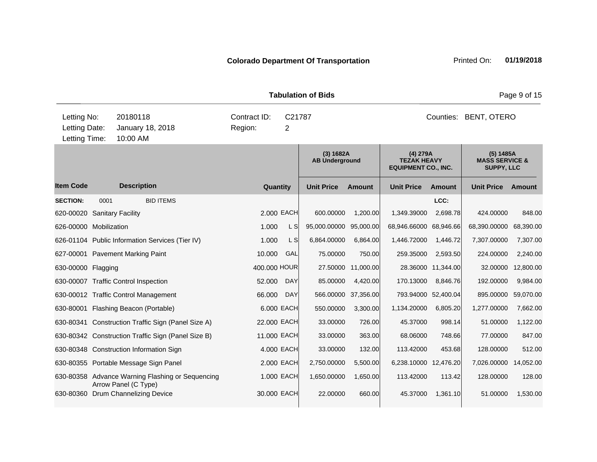|                                               |      |                                                                          | <b>Tabulation of Bids</b> |                |                                    |               |                                                              | Page 9 of 15       |                                                             |           |  |
|-----------------------------------------------|------|--------------------------------------------------------------------------|---------------------------|----------------|------------------------------------|---------------|--------------------------------------------------------------|--------------------|-------------------------------------------------------------|-----------|--|
| Letting No:<br>Letting Date:<br>Letting Time: |      | 20180118<br>January 18, 2018<br>10:00 AM                                 | Contract ID:<br>Region:   | C21787<br>2    |                                    |               | Counties: BENT, OTERO                                        |                    |                                                             |           |  |
|                                               |      |                                                                          |                           |                | (3) 1682A<br><b>AB Underground</b> |               | (4) 279A<br><b>TEZAK HEAVY</b><br><b>EQUIPMENT CO., INC.</b> |                    | (5) 1485A<br><b>MASS SERVICE &amp;</b><br><b>SUPPY, LLC</b> |           |  |
| <b>Item Code</b>                              |      | <b>Description</b>                                                       | Quantity                  |                | <b>Unit Price</b>                  | <b>Amount</b> | <b>Unit Price</b>                                            | <b>Amount</b>      | <b>Unit Price</b>                                           | Amount    |  |
| <b>SECTION:</b>                               | 0001 | <b>BID ITEMS</b>                                                         |                           |                |                                    |               |                                                              | LCC:               |                                                             |           |  |
| 620-00020 Sanitary Facility                   |      |                                                                          |                           | 2.000 EACH     | 600.00000                          | 1,200.00      | 1,349.39000                                                  | 2,698.78           | 424.00000                                                   | 848.00    |  |
| 626-00000 Mobilization                        |      |                                                                          | 1.000                     | L S            | 95,000.00000                       | 95,000.00     | 68,946.66000 68,946.66                                       |                    | 68,390.00000                                                | 68,390.00 |  |
|                                               |      | 626-01104 Public Information Services (Tier IV)                          | 1.000                     | L <sub>S</sub> | 6,864.00000                        | 6,864.00      | 1,446.72000                                                  | 1,446.72           | 7,307.00000                                                 | 7,307.00  |  |
|                                               |      | 627-00001 Pavement Marking Paint                                         | 10.000                    | GAL            | 75.00000                           | 750.00        | 259.35000                                                    | 2,593.50           | 224.00000                                                   | 2,240.00  |  |
| 630-00000 Flagging                            |      |                                                                          | 400.000 HOUR              |                | 27.50000                           | 11,000.00     |                                                              | 28.36000 11,344.00 | 32.00000                                                    | 12,800.00 |  |
|                                               |      | 630-00007 Traffic Control Inspection                                     | 52.000                    | <b>DAY</b>     | 85.00000                           | 4,420.00      | 170.13000                                                    | 8,846.76           | 192.00000                                                   | 9,984.00  |  |
|                                               |      | 630-00012 Traffic Control Management                                     | 66.000                    | <b>DAY</b>     | 566.00000                          | 37,356.00     | 793.94000 52,400.04                                          |                    | 895.00000                                                   | 59,070.00 |  |
|                                               |      | 630-80001 Flashing Beacon (Portable)                                     |                           | 6.000 EACH     | 550.00000                          | 3,300.00      | 1,134.20000                                                  | 6,805.20           | 1,277.00000                                                 | 7,662.00  |  |
|                                               |      | 630-80341 Construction Traffic Sign (Panel Size A)                       | 22.000 EACH               |                | 33.00000                           | 726.00        | 45.37000                                                     | 998.14             | 51.00000                                                    | 1,122.00  |  |
|                                               |      | 630-80342 Construction Traffic Sign (Panel Size B)                       | 11.000 EACH               |                | 33.00000                           | 363.00        | 68.06000                                                     | 748.66             | 77.00000                                                    | 847.00    |  |
|                                               |      | 630-80348 Construction Information Sign                                  |                           | 4.000 EACH     | 33.00000                           | 132.00        | 113.42000                                                    | 453.68             | 128.00000                                                   | 512.00    |  |
|                                               |      | 630-80355 Portable Message Sign Panel                                    |                           | 2.000 EACH     | 2,750.00000                        | 5,500.00      | 6,238.10000 12,476.20                                        |                    | 7,026.00000                                                 | 14,052.00 |  |
|                                               |      | 630-80358 Advance Warning Flashing or Sequencing<br>Arrow Panel (C Type) |                           | 1.000 EACH     | 1,650.00000                        | 1,650.00      | 113.42000                                                    | 113.42             | 128.00000                                                   | 128.00    |  |
| 630-80360                                     |      | Drum Channelizing Device                                                 | 30.000 EACH               |                | 22.00000                           | 660.00        | 45.37000                                                     | 1,361.10           | 51.00000                                                    | 1,530.00  |  |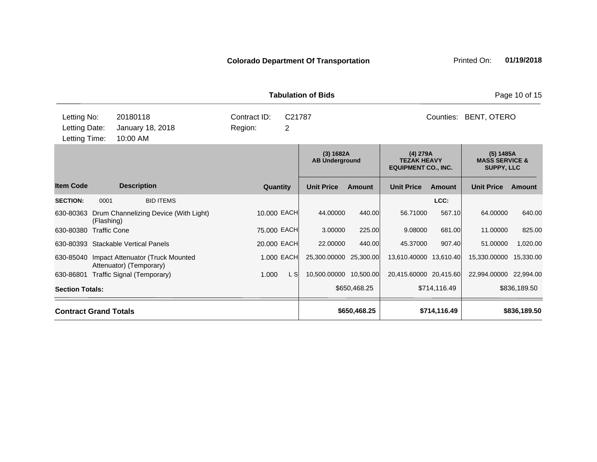| <b>Tabulation of Bids</b>                     |                                                             |                              |                                                                                                    |               |                                                             |               |                        |           |  |
|-----------------------------------------------|-------------------------------------------------------------|------------------------------|----------------------------------------------------------------------------------------------------|---------------|-------------------------------------------------------------|---------------|------------------------|-----------|--|
| Letting No:<br>Letting Date:<br>Letting Time: | 20180118<br>January 18, 2018<br>10:00 AM                    | Contract ID:<br>Region:<br>2 | C <sub>21787</sub>                                                                                 |               |                                                             | Counties:     | BENT, OTERO            |           |  |
|                                               |                                                             |                              | (3) 1682A<br>(4) 279A<br><b>TEZAK HEAVY</b><br><b>AB Underground</b><br><b>EQUIPMENT CO., INC.</b> |               | (5) 1485A<br><b>MASS SERVICE &amp;</b><br><b>SUPPY, LLC</b> |               |                        |           |  |
| <b>Item Code</b>                              | <b>Description</b>                                          | Quantity                     | <b>Unit Price</b>                                                                                  | <b>Amount</b> | <b>Unit Price</b>                                           | <b>Amount</b> | <b>Unit Price</b>      | Amount    |  |
| <b>SECTION:</b>                               | <b>BID ITEMS</b><br>0001                                    |                              |                                                                                                    |               |                                                             | LCC:          |                        |           |  |
| 630-80363                                     | Drum Channelizing Device (With Light)<br>(Flashing)         | 10.000 EACH                  | 44.00000                                                                                           | 440.00        | 56.71000                                                    | 567.10        | 64.00000               | 640.00    |  |
| 630-80380                                     | <b>Traffic Cone</b>                                         | 75.000 EACH                  | 3.00000                                                                                            | 225.00        | 9.08000                                                     | 681.00        | 11.00000               | 825.00    |  |
|                                               | 630-80393 Stackable Vertical Panels                         | 20.000 EACH                  | 22,00000                                                                                           | 440.00        | 45.37000                                                    | 907.40        | 51.00000               | 1,020.00  |  |
| 630-85040                                     | Impact Attenuator (Truck Mounted<br>Attenuator) (Temporary) | 1.000 EACH                   | 25,300.00000                                                                                       | 25,300.00     | 13,610.40000                                                | 13,610.40     | 15,330.00000           | 15,330.00 |  |
| 630-86801                                     | Traffic Signal (Temporary)                                  | 1.000<br>L S                 | 10,500.00000 10,500.00                                                                             |               | 20,415.60000 20,415.60                                      |               | 22,994.00000 22,994.00 |           |  |
| <b>Section Totals:</b>                        |                                                             | \$650,468.25                 |                                                                                                    | \$714,116.49  |                                                             | \$836,189.50  |                        |           |  |
| <b>Contract Grand Totals</b>                  |                                                             | \$650,468.25                 |                                                                                                    | \$714,116.49  |                                                             | \$836,189.50  |                        |           |  |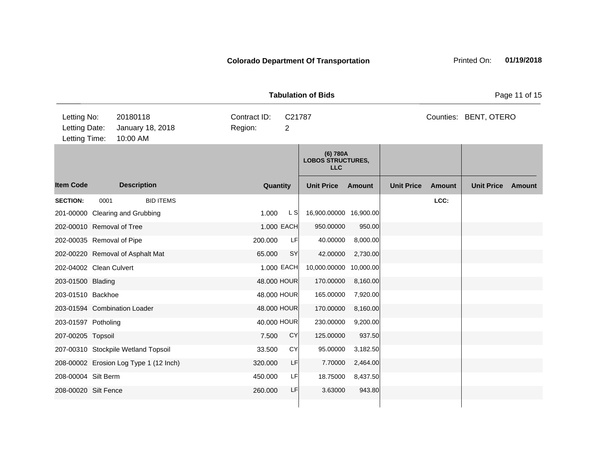| <b>Tabulation of Bids</b>                     |                                          |                         |          |             |                                                    |          |                   |               |                       |        |
|-----------------------------------------------|------------------------------------------|-------------------------|----------|-------------|----------------------------------------------------|----------|-------------------|---------------|-----------------------|--------|
| Letting No:<br>Letting Date:<br>Letting Time: | 20180118<br>January 18, 2018<br>10:00 AM | Contract ID:<br>Region: |          | C21787<br>2 |                                                    |          |                   |               | Counties: BENT, OTERO |        |
|                                               |                                          |                         |          |             | (6) 780A<br><b>LOBOS STRUCTURES,</b><br><b>LLC</b> |          |                   |               |                       |        |
| <b>Item Code</b>                              | <b>Description</b>                       |                         | Quantity |             | <b>Unit Price</b>                                  | Amount   | <b>Unit Price</b> | <b>Amount</b> | <b>Unit Price</b>     | Amount |
| <b>SECTION:</b>                               | <b>BID ITEMS</b><br>0001                 |                         |          |             |                                                    |          |                   | LCC:          |                       |        |
|                                               | 201-00000 Clearing and Grubbing          |                         | 1.000    | L S         | 16,900.00000 16,900.00                             |          |                   |               |                       |        |
|                                               | 202-00010 Removal of Tree                |                         |          | 1.000 EACH  | 950.00000                                          | 950.00   |                   |               |                       |        |
|                                               | 202-00035 Removal of Pipe                | 200.000                 |          | LF          | 40.00000                                           | 8,000.00 |                   |               |                       |        |
|                                               | 202-00220 Removal of Asphalt Mat         | 65.000                  |          | SY          | 42.00000                                           | 2,730.00 |                   |               |                       |        |
| 202-04002 Clean Culvert                       |                                          |                         |          | 1.000 EACH  | 10,000.00000 10,000.00                             |          |                   |               |                       |        |
| 203-01500 Blading                             |                                          |                         |          | 48.000 HOUR | 170.00000                                          | 8,160.00 |                   |               |                       |        |
| 203-01510 Backhoe                             |                                          |                         |          | 48.000 HOUR | 165.00000                                          | 7,920.00 |                   |               |                       |        |
|                                               | 203-01594 Combination Loader             |                         |          | 48.000 HOUR | 170.00000                                          | 8,160.00 |                   |               |                       |        |
| 203-01597 Potholing                           |                                          |                         |          | 40.000 HOUR | 230.00000                                          | 9,200.00 |                   |               |                       |        |
| 207-00205 Topsoil                             |                                          |                         | 7.500    | <b>CY</b>   | 125.00000                                          | 937.50   |                   |               |                       |        |
|                                               | 207-00310 Stockpile Wetland Topsoil      | 33.500                  |          | CY          | 95.00000                                           | 3,182.50 |                   |               |                       |        |
|                                               | 208-00002 Erosion Log Type 1 (12 Inch)   | 320.000                 |          | LF          | 7.70000                                            | 2,464.00 |                   |               |                       |        |
| 208-00004 Silt Berm                           |                                          | 450.000                 |          | LF          | 18.75000                                           | 8,437.50 |                   |               |                       |        |
| 208-00020 Silt Fence                          |                                          | 260.000                 |          | LF          | 3.63000                                            | 943.80   |                   |               |                       |        |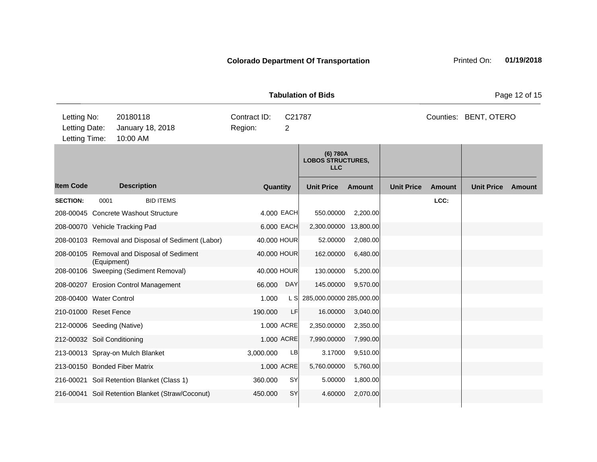|                                               |                                                           |                         |             | <b>Tabulation of Bids</b>                          |          |                   |        |                       | Page 12 of 15 |
|-----------------------------------------------|-----------------------------------------------------------|-------------------------|-------------|----------------------------------------------------|----------|-------------------|--------|-----------------------|---------------|
| Letting No:<br>Letting Date:<br>Letting Time: | 20180118<br>January 18, 2018<br>10:00 AM                  | Contract ID:<br>Region: | C21787<br>2 |                                                    |          |                   |        | Counties: BENT, OTERO |               |
|                                               |                                                           |                         |             | (6) 780A<br><b>LOBOS STRUCTURES,</b><br><b>LLC</b> |          |                   |        |                       |               |
| <b>Item Code</b>                              | <b>Description</b>                                        | Quantity                |             | <b>Unit Price</b>                                  | Amount   | <b>Unit Price</b> | Amount | <b>Unit Price</b>     | Amount        |
| <b>SECTION:</b><br>0001                       | <b>BID ITEMS</b><br>208-00045 Concrete Washout Structure  | 4.000 EACH              |             | 550.00000                                          | 2,200.00 |                   | LCC:   |                       |               |
| 208-00070 Vehicle Tracking Pad                |                                                           | 6.000 EACH              |             | 2,300.00000 13,800.00                              |          |                   |        |                       |               |
|                                               | 208-00103 Removal and Disposal of Sediment (Labor)        | 40.000 HOUR             |             | 52.00000                                           | 2,080.00 |                   |        |                       |               |
|                                               | 208-00105 Removal and Disposal of Sediment<br>(Equipment) | 40.000 HOUR             |             | 162.00000                                          | 6,480.00 |                   |        |                       |               |
|                                               | 208-00106 Sweeping (Sediment Removal)                     | 40.000 HOUR             |             | 130.00000                                          | 5,200.00 |                   |        |                       |               |
|                                               | 208-00207 Erosion Control Management                      | 66.000                  | <b>DAY</b>  | 145.00000                                          | 9,570.00 |                   |        |                       |               |
| 208-00400 Water Control                       |                                                           | 1.000                   |             | L S 285,000.00000 285,000.00                       |          |                   |        |                       |               |
| 210-01000 Reset Fence                         |                                                           | 190.000                 | LF          | 16.00000                                           | 3,040.00 |                   |        |                       |               |
| 212-00006 Seeding (Native)                    |                                                           | 1.000 ACRE              |             | 2,350.00000                                        | 2,350.00 |                   |        |                       |               |
| 212-00032 Soil Conditioning                   |                                                           | 1.000 ACRE              |             | 7,990.00000                                        | 7,990.00 |                   |        |                       |               |
|                                               | 213-00013 Spray-on Mulch Blanket                          | 3,000.000               | <b>LB</b>   | 3.17000                                            | 9,510.00 |                   |        |                       |               |
| 213-00150 Bonded Fiber Matrix                 |                                                           | 1.000 ACRE              |             | 5,760.00000                                        | 5,760.00 |                   |        |                       |               |
|                                               | 216-00021 Soil Retention Blanket (Class 1)                | 360.000                 | <b>SY</b>   | 5.00000                                            | 1,800.00 |                   |        |                       |               |

216-00041 Soil Retention Blanket (Straw/Coconut) 450.000 SY 4.60000 2,070.00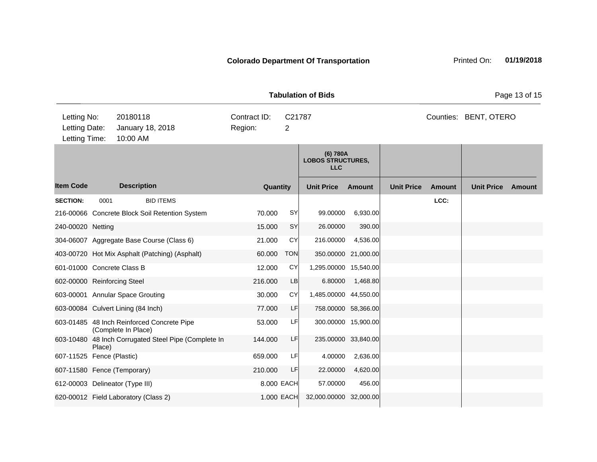|                                               |        |                                                                   |                         |                          | <b>Tabulation of Bids</b>                          |                     |                   |               |                       | Page 13 of 15 |
|-----------------------------------------------|--------|-------------------------------------------------------------------|-------------------------|--------------------------|----------------------------------------------------|---------------------|-------------------|---------------|-----------------------|---------------|
| Letting No:<br>Letting Date:<br>Letting Time: |        | 20180118<br>January 18, 2018<br>10:00 AM                          | Contract ID:<br>Region: | C21787<br>$\overline{2}$ |                                                    |                     |                   |               | Counties: BENT, OTERO |               |
|                                               |        |                                                                   |                         |                          | (6) 780A<br><b>LOBOS STRUCTURES.</b><br><b>LLC</b> |                     |                   |               |                       |               |
| <b>Item Code</b>                              |        | <b>Description</b>                                                | Quantity                |                          | <b>Unit Price</b>                                  | Amount              | <b>Unit Price</b> | <b>Amount</b> | <b>Unit Price</b>     | <b>Amount</b> |
| <b>SECTION:</b>                               | 0001   | <b>BID ITEMS</b>                                                  |                         |                          |                                                    |                     |                   | LCC:          |                       |               |
|                                               |        | 216-00066 Concrete Block Soil Retention System                    | 70.000                  | SY                       | 99.00000                                           | 6,930.00            |                   |               |                       |               |
| 240-00020 Netting                             |        |                                                                   | 15.000                  | SY                       | 26.00000                                           | 390.00              |                   |               |                       |               |
|                                               |        | 304-06007 Aggregate Base Course (Class 6)                         | 21.000                  | CY                       | 216.00000                                          | 4,536.00            |                   |               |                       |               |
|                                               |        | 403-00720 Hot Mix Asphalt (Patching) (Asphalt)                    | 60.000                  | <b>TON</b>               |                                                    | 350.00000 21,000.00 |                   |               |                       |               |
| 601-01000 Concrete Class B                    |        |                                                                   | 12.000                  | CY                       | 1,295.00000 15,540.00                              |                     |                   |               |                       |               |
| 602-00000 Reinforcing Steel                   |        |                                                                   | 216.000                 | LB                       | 6.80000                                            | 1,468.80            |                   |               |                       |               |
|                                               |        | 603-00001 Annular Space Grouting                                  | 30.000                  | <b>CY</b>                | 1,485.00000 44,550.00                              |                     |                   |               |                       |               |
|                                               |        | 603-00084 Culvert Lining (84 Inch)                                | 77.000                  | LF                       |                                                    | 758.00000 58,366.00 |                   |               |                       |               |
|                                               |        | 603-01485 48 Inch Reinforced Concrete Pipe<br>(Complete In Place) | 53.000                  | LF                       |                                                    | 300.00000 15,900.00 |                   |               |                       |               |
|                                               | Place) | 603-10480 48 Inch Corrugated Steel Pipe (Complete In              | 144.000                 | LF                       |                                                    | 235.00000 33,840.00 |                   |               |                       |               |
| 607-11525 Fence (Plastic)                     |        |                                                                   | 659.000                 | LF                       | 4.00000                                            | 2,636.00            |                   |               |                       |               |
|                                               |        | 607-11580 Fence (Temporary)                                       | 210.000                 | <b>LF</b>                | 22.00000                                           | 4,620.00            |                   |               |                       |               |
|                                               |        | 612-00003 Delineator (Type III)                                   |                         | 8.000 EACH               | 57.00000                                           | 456.00              |                   |               |                       |               |
|                                               |        | 620-00012 Field Laboratory (Class 2)                              |                         | 1.000 EACH               | 32,000.00000 32,000.00                             |                     |                   |               |                       |               |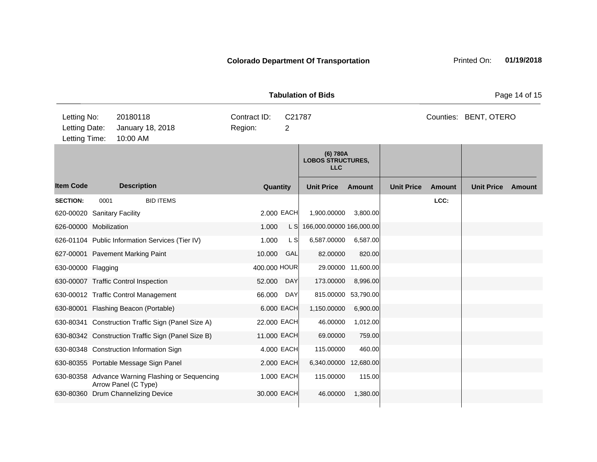|                                               | <b>Tabulation of Bids</b> |                                                                          |                         |                          |                                                    |                    |                   |               |                       |        |  |
|-----------------------------------------------|---------------------------|--------------------------------------------------------------------------|-------------------------|--------------------------|----------------------------------------------------|--------------------|-------------------|---------------|-----------------------|--------|--|
| Letting No:<br>Letting Date:<br>Letting Time: |                           | 20180118<br>January 18, 2018<br>10:00 AM                                 | Contract ID:<br>Region: | C21787<br>$\overline{2}$ |                                                    |                    |                   |               | Counties: BENT, OTERO |        |  |
|                                               |                           |                                                                          |                         |                          | (6) 780A<br><b>LOBOS STRUCTURES,</b><br><b>LLC</b> |                    |                   |               |                       |        |  |
| <b>Item Code</b>                              |                           | <b>Description</b>                                                       | Quantity                |                          | <b>Unit Price</b>                                  | Amount             | <b>Unit Price</b> | <b>Amount</b> | <b>Unit Price</b>     | Amount |  |
| <b>SECTION:</b>                               | 0001                      | <b>BID ITEMS</b>                                                         |                         |                          |                                                    |                    |                   | LCC:          |                       |        |  |
| 620-00020 Sanitary Facility                   |                           |                                                                          |                         | 2.000 EACH               | 1,900.00000                                        | 3,800.00           |                   |               |                       |        |  |
| 626-00000 Mobilization                        |                           |                                                                          | 1.000                   | L SI                     | 166,000.00000 166,000.00                           |                    |                   |               |                       |        |  |
|                                               |                           | 626-01104 Public Information Services (Tier IV)                          | 1.000                   | L S                      | 6,587.00000                                        | 6,587.00           |                   |               |                       |        |  |
|                                               |                           | 627-00001 Pavement Marking Paint                                         | 10.000                  | GAL                      | 82.00000                                           | 820.00             |                   |               |                       |        |  |
| 630-00000 Flagging                            |                           |                                                                          | 400.000 HOUR            |                          |                                                    | 29.00000 11,600.00 |                   |               |                       |        |  |
|                                               |                           | 630-00007 Traffic Control Inspection                                     | 52.000                  | <b>DAY</b>               | 173.00000                                          | 8,996.00           |                   |               |                       |        |  |
|                                               |                           | 630-00012 Traffic Control Management                                     | 66.000                  | DAY                      | 815.00000                                          | 53,790.00          |                   |               |                       |        |  |
|                                               |                           | 630-80001 Flashing Beacon (Portable)                                     |                         | 6,000 EACH               | 1,150.00000                                        | 6,900.00           |                   |               |                       |        |  |
|                                               |                           | 630-80341 Construction Traffic Sign (Panel Size A)                       | 22.000 EACH             |                          | 46.00000                                           | 1,012.00           |                   |               |                       |        |  |
|                                               |                           | 630-80342 Construction Traffic Sign (Panel Size B)                       | 11.000 EACH             |                          | 69.00000                                           | 759.00             |                   |               |                       |        |  |
|                                               |                           | 630-80348 Construction Information Sign                                  |                         | 4.000 EACH               | 115.00000                                          | 460.00             |                   |               |                       |        |  |
|                                               |                           | 630-80355 Portable Message Sign Panel                                    |                         | 2.000 EACH               | 6,340.00000                                        | 12,680.00          |                   |               |                       |        |  |
|                                               |                           | 630-80358 Advance Warning Flashing or Sequencing<br>Arrow Panel (C Type) |                         | 1.000 EACH               | 115.00000                                          | 115.00             |                   |               |                       |        |  |
|                                               |                           | 630-80360 Drum Channelizing Device                                       | 30.000 EACH             |                          | 46.00000                                           | 1,380.00           |                   |               |                       |        |  |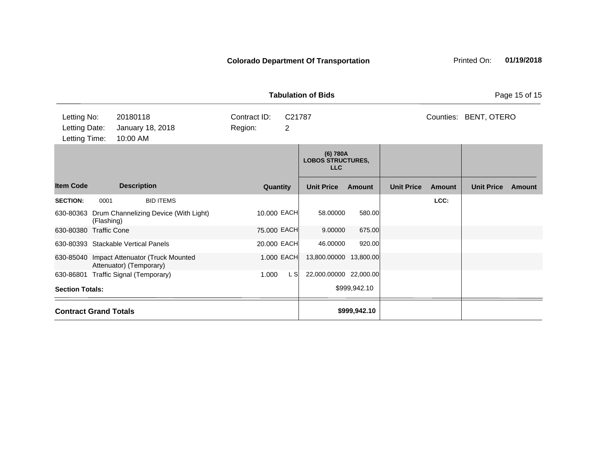| Printed On: | 01/19/2018 |
|-------------|------------|
|             |            |

|                                                                                           | <b>Tabulation of Bids</b> |                                                                       |                          |     |                                                    |               |                   |               |                   |        |
|-------------------------------------------------------------------------------------------|---------------------------|-----------------------------------------------------------------------|--------------------------|-----|----------------------------------------------------|---------------|-------------------|---------------|-------------------|--------|
| Letting No:<br>20180118<br>Letting Date:<br>January 18, 2018<br>Letting Time:<br>10:00 AM |                           | Contract ID:<br>Region:                                               | C21787<br>$\overline{2}$ |     |                                                    |               | Counties:         | BENT, OTERO   |                   |        |
|                                                                                           |                           |                                                                       |                          |     | (6) 780A<br><b>LOBOS STRUCTURES,</b><br><b>LLC</b> |               |                   |               |                   |        |
| <b>Item Code</b>                                                                          |                           | <b>Description</b>                                                    | Quantity                 |     | <b>Unit Price</b>                                  | <b>Amount</b> | <b>Unit Price</b> | <b>Amount</b> | <b>Unit Price</b> | Amount |
| <b>SECTION:</b>                                                                           | 0001                      | <b>BID ITEMS</b>                                                      |                          |     |                                                    |               |                   | LCC:          |                   |        |
| 630-80363                                                                                 | (Flashing)                | Drum Channelizing Device (With Light)                                 | 10.000 EACH              |     | 58.00000                                           | 580.00        |                   |               |                   |        |
| 630-80380 Traffic Cone                                                                    |                           |                                                                       | 75.000 EACH              |     | 9.00000                                            | 675.00        |                   |               |                   |        |
|                                                                                           |                           | 630-80393 Stackable Vertical Panels                                   | 20.000 EACH              |     | 46.00000                                           | 920.00        |                   |               |                   |        |
|                                                                                           |                           | 630-85040 Impact Attenuator (Truck Mounted<br>Attenuator) (Temporary) | 1.000 EACH               |     | 13,800.00000                                       | 13,800.00     |                   |               |                   |        |
|                                                                                           |                           | 630-86801 Traffic Signal (Temporary)                                  | 1.000                    | L S | 22,000.00000 22,000.00                             |               |                   |               |                   |        |
| <b>Section Totals:</b>                                                                    |                           |                                                                       |                          |     |                                                    | \$999,942.10  |                   |               |                   |        |
| <b>Contract Grand Totals</b>                                                              |                           |                                                                       |                          |     |                                                    | \$999,942.10  |                   |               |                   |        |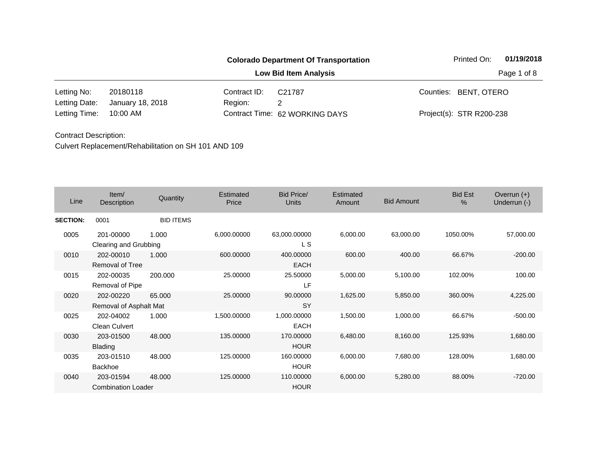|               |                  |              | <b>Colorado Department Of Transportation</b> | Printed On:              |             |  |
|---------------|------------------|--------------|----------------------------------------------|--------------------------|-------------|--|
|               |                  |              | <b>Low Bid Item Analysis</b>                 |                          | Page 1 of 8 |  |
| Letting No:   | 20180118         | Contract ID: | C21787                                       | Counties: BENT, OTERO    |             |  |
| Letting Date: | January 18, 2018 | Region:      | 2                                            |                          |             |  |
| Letting Time: | 10:00 AM         |              | Contract Time: 62 WORKING DAYS               | Project(s): STR R200-238 |             |  |

| Line            | Item/<br>Description                   | Quantity         | Estimated<br>Price | <b>Bid Price/</b><br><b>Units</b> | <b>Estimated</b><br>Amount | <b>Bid Amount</b> | <b>Bid Est</b><br>$\frac{0}{0}$ | Overrun $(+)$<br>Underrun (-) |
|-----------------|----------------------------------------|------------------|--------------------|-----------------------------------|----------------------------|-------------------|---------------------------------|-------------------------------|
| <b>SECTION:</b> | 0001                                   | <b>BID ITEMS</b> |                    |                                   |                            |                   |                                 |                               |
| 0005            | 201-00000<br>Clearing and Grubbing     | 1.000            | 6,000.00000        | 63,000.00000<br>L S               | 6,000.00                   | 63,000.00         | 1050.00%                        | 57,000.00                     |
| 0010            | 202-00010<br><b>Removal of Tree</b>    | 1.000            | 600.00000          | 400.00000<br><b>EACH</b>          | 600.00                     | 400.00            | 66.67%                          | $-200.00$                     |
| 0015            | 202-00035<br>Removal of Pipe           | 200.000          | 25.00000           | 25.50000<br>LF                    | 5,000.00                   | 5,100.00          | 102.00%                         | 100.00                        |
| 0020            | 202-00220<br>Removal of Asphalt Mat    | 65,000           | 25.00000           | 90.00000<br><b>SY</b>             | 1,625.00                   | 5,850.00          | 360.00%                         | 4,225.00                      |
| 0025            | 202-04002<br>Clean Culvert             | 1.000            | 1,500.00000        | 1,000.00000<br><b>EACH</b>        | 1,500.00                   | 1,000.00          | 66.67%                          | $-500.00$                     |
| 0030            | 203-01500<br><b>Blading</b>            | 48.000           | 135,00000          | 170.00000<br><b>HOUR</b>          | 6,480.00                   | 8,160.00          | 125.93%                         | 1,680.00                      |
| 0035            | 203-01510<br><b>Backhoe</b>            | 48.000           | 125.00000          | 160.00000<br><b>HOUR</b>          | 6,000.00                   | 7,680.00          | 128.00%                         | 1,680.00                      |
| 0040            | 203-01594<br><b>Combination Loader</b> | 48.000           | 125.00000          | 110.00000<br><b>HOUR</b>          | 6,000.00                   | 5,280.00          | 88.00%                          | $-720.00$                     |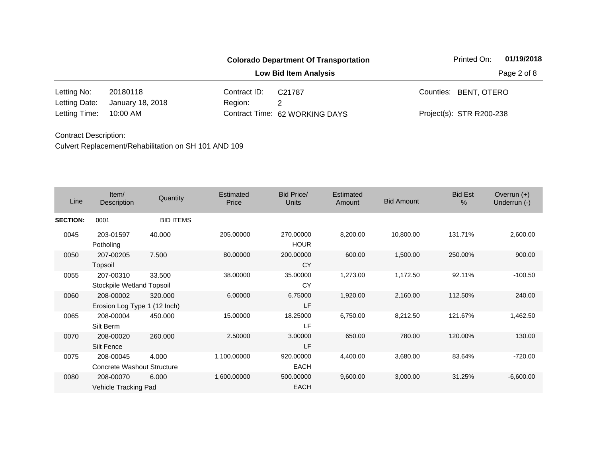|               |                  |              | <b>Colorado Department Of Transportation</b> | Printed On:              |             |  |
|---------------|------------------|--------------|----------------------------------------------|--------------------------|-------------|--|
|               |                  |              | <b>Low Bid Item Analysis</b>                 |                          | Page 2 of 8 |  |
| Letting No:   | 20180118         | Contract ID: | C21787                                       | Counties: BENT, OTERO    |             |  |
| Letting Date: | January 18, 2018 | Region:      | 2                                            |                          |             |  |
| Letting Time: | 10:00 AM         |              | Contract Time: 62 WORKING DAYS               | Project(s): STR R200-238 |             |  |

| Line            | Item/<br>Description                      | Quantity         | Estimated<br>Price | Bid Price/<br>Units      | Estimated<br>Amount | <b>Bid Amount</b> | <b>Bid Est</b><br>% | Overrun $(+)$<br>Underrun (-) |
|-----------------|-------------------------------------------|------------------|--------------------|--------------------------|---------------------|-------------------|---------------------|-------------------------------|
| <b>SECTION:</b> | 0001                                      | <b>BID ITEMS</b> |                    |                          |                     |                   |                     |                               |
| 0045            | 203-01597<br>Potholing                    | 40.000           | 205.00000          | 270.00000<br><b>HOUR</b> | 8,200.00            | 10,800.00         | 131.71%             | 2,600.00                      |
| 0050            | 207-00205<br>Topsoil                      | 7.500            | 80.00000           | 200.00000<br>CY          | 600.00              | 1,500.00          | 250.00%             | 900.00                        |
| 0055            | 207-00310<br>Stockpile Wetland Topsoil    | 33.500           | 38.00000           | 35.00000<br>CY           | 1,273.00            | 1,172.50          | 92.11%              | $-100.50$                     |
| 0060            | 208-00002<br>Erosion Log Type 1 (12 Inch) | 320.000          | 6.00000            | 6.75000<br>LF            | 1,920.00            | 2,160.00          | 112.50%             | 240.00                        |
| 0065            | 208-00004<br>Silt Berm                    | 450.000          | 15.00000           | 18.25000<br>LF           | 6,750.00            | 8,212.50          | 121.67%             | 1,462.50                      |
| 0070            | 208-00020<br>Silt Fence                   | 260,000          | 2.50000            | 3.00000<br>LF            | 650.00              | 780.00            | 120.00%             | 130.00                        |
| 0075            | 208-00045<br>Concrete Washout Structure   | 4.000            | 1,100.00000        | 920.00000<br><b>EACH</b> | 4,400.00            | 3,680.00          | 83.64%              | $-720.00$                     |
| 0080            | 208-00070<br>Vehicle Tracking Pad         | 6.000            | 1,600.00000        | 500.00000<br><b>EACH</b> | 9,600.00            | 3,000.00          | 31.25%              | $-6,600.00$                   |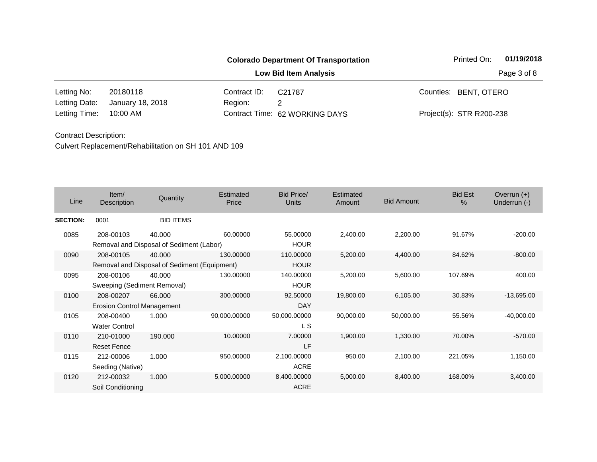| <b>Colorado Department Of Transportation</b> |                  |                              |                                |  | Printed On:              | 01/19/2018 |
|----------------------------------------------|------------------|------------------------------|--------------------------------|--|--------------------------|------------|
|                                              |                  | <b>Low Bid Item Analysis</b> | Page 3 of 8                    |  |                          |            |
| Letting No:                                  | 20180118         | Contract ID:                 | C <sub>21787</sub>             |  | Counties: BENT, OTERO    |            |
| Letting Date:                                | January 18, 2018 | Region:                      |                                |  |                          |            |
| Letting Time:                                | 10:00 AM         |                              | Contract Time: 62 WORKING DAYS |  | Project(s): STR R200-238 |            |

| Line            | Item $/$<br>Description                                   | Quantity         | Estimated<br>Price | <b>Bid Price/</b><br><b>Units</b> | Estimated<br>Amount | <b>Bid Amount</b> | <b>Bid Est</b><br>$\frac{0}{0}$ | Overrun $(+)$<br>Underrun (-) |
|-----------------|-----------------------------------------------------------|------------------|--------------------|-----------------------------------|---------------------|-------------------|---------------------------------|-------------------------------|
| <b>SECTION:</b> | 0001                                                      | <b>BID ITEMS</b> |                    |                                   |                     |                   |                                 |                               |
| 0085            | 208-00103<br>Removal and Disposal of Sediment (Labor)     | 40.000           | 60.00000           | 55.00000<br><b>HOUR</b>           | 2,400.00            | 2,200.00          | 91.67%                          | $-200.00$                     |
| 0090            | 208-00105<br>Removal and Disposal of Sediment (Equipment) | 40.000           | 130.00000          | 110.00000<br><b>HOUR</b>          | 5,200.00            | 4,400.00          | 84.62%                          | $-800.00$                     |
| 0095            | 208-00106<br>Sweeping (Sediment Removal)                  | 40.000           | 130.00000          | 140.00000<br><b>HOUR</b>          | 5,200.00            | 5,600.00          | 107.69%                         | 400.00                        |
| 0100            | 208-00207<br><b>Erosion Control Management</b>            | 66,000           | 300.00000          | 92.50000<br><b>DAY</b>            | 19,800.00           | 6,105.00          | 30.83%                          | $-13,695.00$                  |
| 0105            | 208-00400<br><b>Water Control</b>                         | 1.000            | 90,000.00000       | 50,000.00000<br>L S               | 90,000.00           | 50,000.00         | 55.56%                          | $-40,000.00$                  |
| 0110            | 210-01000<br><b>Reset Fence</b>                           | 190.000          | 10.00000           | 7.00000<br>LF                     | 1,900.00            | 1,330.00          | 70.00%                          | $-570.00$                     |
| 0115            | 212-00006<br>Seeding (Native)                             | 1.000            | 950.00000          | 2,100.00000<br><b>ACRE</b>        | 950.00              | 2,100.00          | 221.05%                         | 1,150.00                      |
| 0120            | 212-00032<br>Soil Conditioning                            | 1.000            | 5,000.00000        | 8,400.00000<br><b>ACRE</b>        | 5,000.00            | 8,400.00          | 168.00%                         | 3,400.00                      |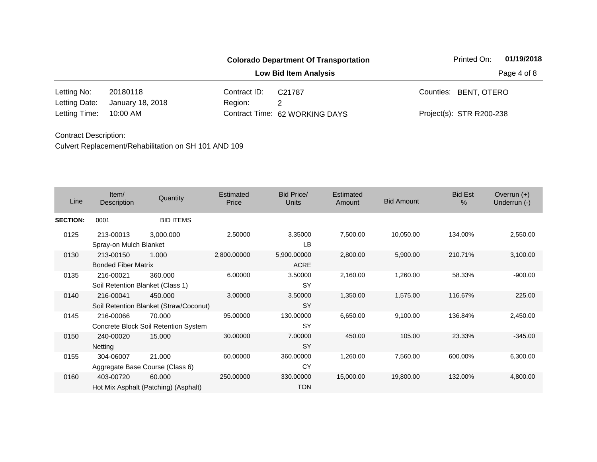|               |                  |              | <b>Colorado Department Of Transportation</b> | 01/19/2018<br>Printed On: |  |  |
|---------------|------------------|--------------|----------------------------------------------|---------------------------|--|--|
|               |                  |              | Page 4 of 8                                  |                           |  |  |
| Letting No:   | 20180118         | Contract ID: | C21787                                       | Counties: BENT, OTERO     |  |  |
| Letting Date: | January 18, 2018 | Region:      | 2                                            |                           |  |  |
| Letting Time: | 10:00 AM         |              | Contract Time: 62 WORKING DAYS               | Project(s): STR R200-238  |  |  |

| Line            | Item/<br>Description                          | Quantity                                          | <b>Estimated</b><br>Price | <b>Bid Price/</b><br><b>Units</b> | Estimated<br>Amount | <b>Bid Amount</b> | <b>Bid Est</b><br>$\frac{0}{0}$ | Overrun $(+)$<br>Underrun (-) |
|-----------------|-----------------------------------------------|---------------------------------------------------|---------------------------|-----------------------------------|---------------------|-------------------|---------------------------------|-------------------------------|
| <b>SECTION:</b> | 0001                                          | <b>BID ITEMS</b>                                  |                           |                                   |                     |                   |                                 |                               |
| 0125            | 213-00013<br>Spray-on Mulch Blanket           | 3,000.000                                         | 2.50000                   | 3.35000<br>LB                     | 7,500.00            | 10,050.00         | 134.00%                         | 2,550.00                      |
| 0130            | 213-00150<br><b>Bonded Fiber Matrix</b>       | 1.000                                             | 2,800.00000               | 5,900.00000<br><b>ACRE</b>        | 2,800.00            | 5,900.00          | 210.71%                         | 3,100.00                      |
| 0135            | 216-00021<br>Soil Retention Blanket (Class 1) | 360,000                                           | 6.00000                   | 3.50000<br><b>SY</b>              | 2,160.00            | 1,260.00          | 58.33%                          | $-900.00$                     |
| 0140            | 216-00041                                     | 450,000<br>Soil Retention Blanket (Straw/Coconut) | 3.00000                   | 3.50000<br><b>SY</b>              | 1,350.00            | 1,575.00          | 116.67%                         | 225.00                        |
| 0145            | 216-00066                                     | 70.000<br>Concrete Block Soil Retention System    | 95.00000                  | 130.00000<br><b>SY</b>            | 6,650.00            | 9,100.00          | 136.84%                         | 2,450.00                      |
| 0150            | 240-00020<br>Netting                          | 15.000                                            | 30.00000                  | 7.00000<br><b>SY</b>              | 450.00              | 105.00            | 23.33%                          | $-345.00$                     |
| 0155            | 304-06007                                     | 21.000<br>Aggregate Base Course (Class 6)         | 60.00000                  | 360.00000<br>CY                   | 1,260.00            | 7,560.00          | 600.00%                         | 6,300.00                      |
| 0160            | 403-00720                                     | 60.000<br>Hot Mix Asphalt (Patching) (Asphalt)    | 250.00000                 | 330.00000<br><b>TON</b>           | 15,000.00           | 19,800.00         | 132.00%                         | 4,800.00                      |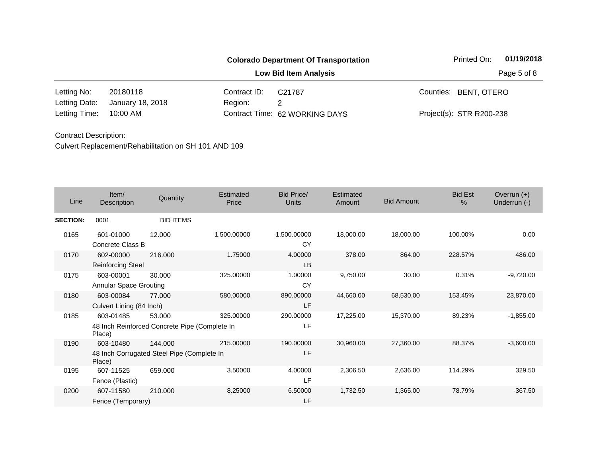| <b>Colorado Department Of Transportation</b> |                  |              |                                | Printed On:              | 01/19/2018 |
|----------------------------------------------|------------------|--------------|--------------------------------|--------------------------|------------|
|                                              |                  |              | Page 5 of 8                    |                          |            |
| Letting No:                                  | 20180118         | Contract ID: | C21787                         | Counties: BENT, OTERO    |            |
| Letting Date:                                | January 18, 2018 | Region:      | 2                              |                          |            |
| Letting Time:                                | 10:00 AM         |              | Contract Time: 62 WORKING DAYS | Project(s): STR R200-238 |            |

| Line            | Item/<br>Description                       | Quantity                                                | <b>Estimated</b><br>Price | <b>Bid Price/</b><br>Units | Estimated<br>Amount | <b>Bid Amount</b> | <b>Bid Est</b><br>$\frac{0}{0}$ | Overrun $(+)$<br>Underrun (-) |
|-----------------|--------------------------------------------|---------------------------------------------------------|---------------------------|----------------------------|---------------------|-------------------|---------------------------------|-------------------------------|
| <b>SECTION:</b> | 0001                                       | <b>BID ITEMS</b>                                        |                           |                            |                     |                   |                                 |                               |
| 0165            | 601-01000<br>Concrete Class B              | 12.000                                                  | 1,500.00000               | 1,500.00000<br><b>CY</b>   | 18,000.00           | 18,000.00         | 100.00%                         | 0.00                          |
| 0170            | 602-00000<br><b>Reinforcing Steel</b>      | 216.000                                                 | 1.75000                   | 4.00000<br><b>LB</b>       | 378.00              | 864.00            | 228.57%                         | 486.00                        |
| 0175            | 603-00001<br><b>Annular Space Grouting</b> | 30.000                                                  | 325.00000                 | 1.00000<br>CY              | 9,750.00            | 30.00             | 0.31%                           | $-9,720.00$                   |
| 0180            | 603-00084<br>Culvert Lining (84 Inch)      | 77.000                                                  | 580.00000                 | 890.00000<br>LF            | 44,660.00           | 68,530.00         | 153.45%                         | 23,870.00                     |
| 0185            | 603-01485<br>Place)                        | 53.000<br>48 Inch Reinforced Concrete Pipe (Complete In | 325.00000                 | 290.00000<br>LF            | 17,225.00           | 15,370.00         | 89.23%                          | $-1,855.00$                   |
| 0190            | 603-10480<br>Place)                        | 144,000<br>48 Inch Corrugated Steel Pipe (Complete In   | 215.00000                 | 190.00000<br>LF            | 30,960.00           | 27,360.00         | 88.37%                          | $-3,600.00$                   |
| 0195            | 607-11525<br>Fence (Plastic)               | 659.000                                                 | 3.50000                   | 4.00000<br>LF              | 2,306.50            | 2,636.00          | 114.29%                         | 329.50                        |
| 0200            | 607-11580<br>Fence (Temporary)             | 210,000                                                 | 8.25000                   | 6.50000<br>LF              | 1,732.50            | 1,365.00          | 78.79%                          | $-367.50$                     |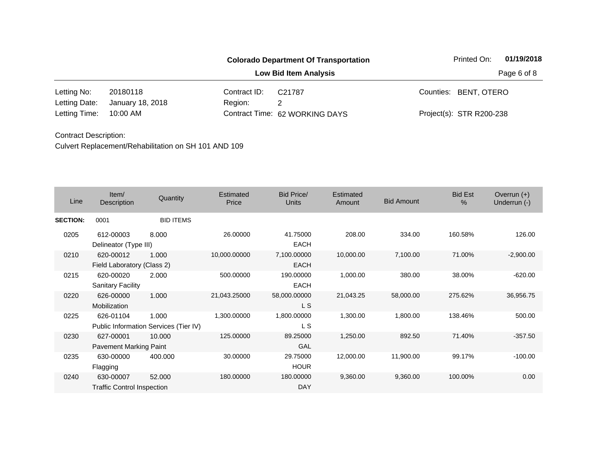|               |                  |              | <b>Colorado Department Of Transportation</b> | Printed On:              | 01/19/2018 |
|---------------|------------------|--------------|----------------------------------------------|--------------------------|------------|
|               |                  |              | Page 6 of 8                                  |                          |            |
| Letting No:   | 20180118         | Contract ID: | C <sub>21787</sub>                           | Counties: BENT, OTERO    |            |
| Letting Date: | January 18, 2018 | Region:      | 2                                            |                          |            |
| Letting Time: | 10:00 AM         |              | Contract Time: 62 WORKING DAYS               | Project(s): STR R200-238 |            |

| Line            | Item/<br>Description                           | Quantity                                       | Estimated<br>Price | <b>Bid Price/</b><br><b>Units</b> | Estimated<br>Amount | <b>Bid Amount</b> | <b>Bid Est</b><br>$\%$ | Overrun $(+)$<br>Underrun (-) |
|-----------------|------------------------------------------------|------------------------------------------------|--------------------|-----------------------------------|---------------------|-------------------|------------------------|-------------------------------|
| <b>SECTION:</b> | 0001                                           | <b>BID ITEMS</b>                               |                    |                                   |                     |                   |                        |                               |
| 0205            | 612-00003<br>Delineator (Type III)             | 8.000                                          | 26.00000           | 41.75000<br><b>EACH</b>           | 208.00              | 334.00            | 160.58%                | 126.00                        |
| 0210            | 620-00012<br>Field Laboratory (Class 2)        | 1.000                                          | 10,000.00000       | 7,100.00000<br><b>EACH</b>        | 10,000.00           | 7,100.00          | 71.00%                 | $-2,900.00$                   |
| 0215            | 620-00020<br><b>Sanitary Facility</b>          | 2.000                                          | 500.00000          | 190.00000<br><b>EACH</b>          | 1,000.00            | 380.00            | 38.00%                 | $-620.00$                     |
| 0220            | 626-00000<br>Mobilization                      | 1.000                                          | 21,043.25000       | 58,000.00000<br>L S               | 21,043.25           | 58,000.00         | 275.62%                | 36,956.75                     |
| 0225            | 626-01104                                      | 1.000<br>Public Information Services (Tier IV) | 1,300.00000        | 1,800.00000<br>L S                | 1,300.00            | 1,800.00          | 138.46%                | 500.00                        |
| 0230            | 627-00001<br>Pavement Marking Paint            | 10.000                                         | 125.00000          | 89.25000<br>GAL                   | 1,250.00            | 892.50            | 71.40%                 | $-357.50$                     |
| 0235            | 630-00000<br>Flagging                          | 400.000                                        | 30.00000           | 29.75000<br><b>HOUR</b>           | 12,000.00           | 11,900.00         | 99.17%                 | $-100.00$                     |
| 0240            | 630-00007<br><b>Traffic Control Inspection</b> | 52.000                                         | 180.00000          | 180.00000<br><b>DAY</b>           | 9,360.00            | 9,360.00          | 100.00%                | 0.00                          |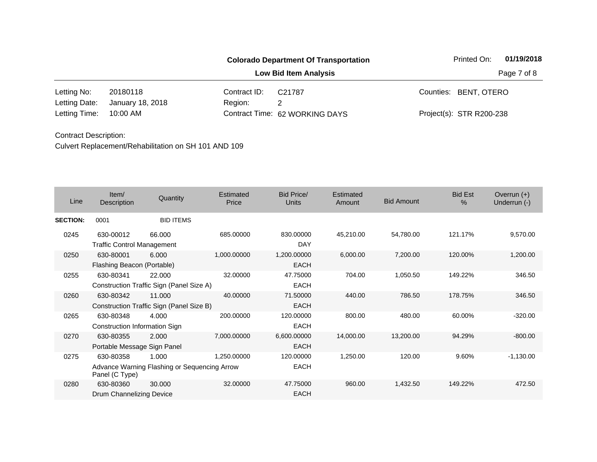|               |                  |              | <b>Colorado Department Of Transportation</b> |             |                          | 01/19/2018 |
|---------------|------------------|--------------|----------------------------------------------|-------------|--------------------------|------------|
|               |                  |              |                                              | Page 7 of 8 |                          |            |
| Letting No:   | 20180118         | Contract ID: | C21787                                       |             | Counties: BENT, OTERO    |            |
| Letting Date: | January 18, 2018 | Region:      |                                              |             |                          |            |
| Letting Time: | 10:00 AM         |              | Contract Time: 62 WORKING DAYS               |             | Project(s): STR R200-238 |            |

| Line            | Item/<br>Description                           | Quantity                                              | Estimated<br>Price | <b>Bid Price/</b><br><b>Units</b> | Estimated<br>Amount | <b>Bid Amount</b> | <b>Bid Est</b><br>$\frac{0}{0}$ | Overrun $(+)$<br>Underrun (-) |
|-----------------|------------------------------------------------|-------------------------------------------------------|--------------------|-----------------------------------|---------------------|-------------------|---------------------------------|-------------------------------|
| <b>SECTION:</b> | 0001                                           | <b>BID ITEMS</b>                                      |                    |                                   |                     |                   |                                 |                               |
| 0245            | 630-00012<br><b>Traffic Control Management</b> | 66,000                                                | 685.00000          | 830,00000<br>DAY                  | 45,210.00           | 54,780.00         | 121.17%                         | 9,570.00                      |
| 0250            | 630-80001<br>Flashing Beacon (Portable)        | 6.000                                                 | 1,000.00000        | 1,200.00000<br><b>EACH</b>        | 6,000.00            | 7,200.00          | 120.00%                         | 1,200.00                      |
| 0255            | 630-80341                                      | 22.000<br>Construction Traffic Sign (Panel Size A)    | 32.00000           | 47.75000<br><b>EACH</b>           | 704.00              | 1,050.50          | 149.22%                         | 346.50                        |
| 0260            | 630-80342                                      | 11.000<br>Construction Traffic Sign (Panel Size B)    | 40.00000           | 71.50000<br><b>EACH</b>           | 440.00              | 786.50            | 178.75%                         | 346.50                        |
| 0265            | 630-80348<br>Construction Information Sign     | 4.000                                                 | 200.00000          | 120.00000<br>EACH                 | 800.00              | 480.00            | 60.00%                          | $-320.00$                     |
| 0270            | 630-80355<br>Portable Message Sign Panel       | 2.000                                                 | 7,000.00000        | 6,600.00000<br><b>EACH</b>        | 14,000.00           | 13,200.00         | 94.29%                          | $-800.00$                     |
| 0275            | 630-80358<br>Panel (C Type)                    | 1.000<br>Advance Warning Flashing or Sequencing Arrow | 1,250.00000        | 120.00000<br><b>EACH</b>          | 1,250.00            | 120.00            | 9.60%                           | $-1,130.00$                   |
| 0280            | 630-80360<br>Drum Channelizing Device          | 30,000                                                | 32.00000           | 47.75000<br><b>EACH</b>           | 960.00              | 1,432.50          | 149.22%                         | 472.50                        |